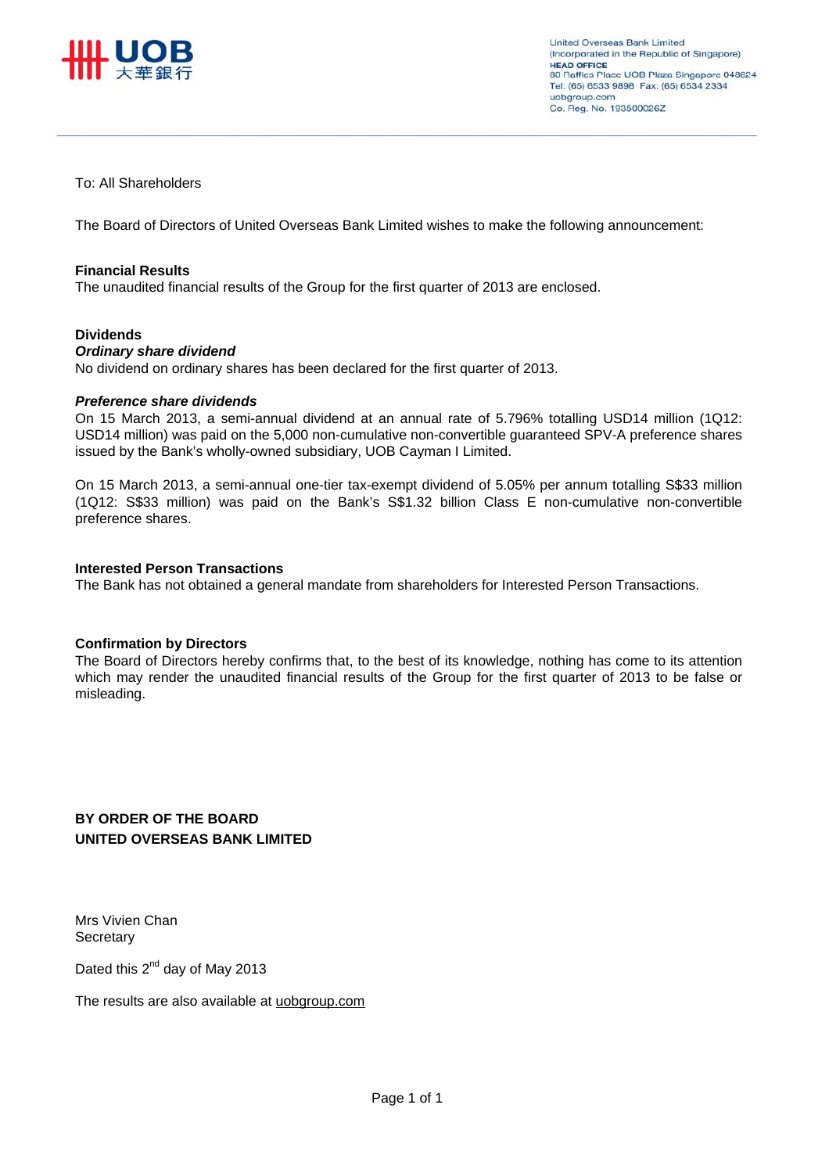

**United Overseas Bank Limited** (Incorporated in the Republic of Singapore) **HEAD OFFICE** 80 Raffles Place UOB Plaza Singapore 048624 Tel: (65) 6533 9898 Fax: (65) 6534 2334 uobgroup.com Co. Reg. No. 193500026Z

## To: All Shareholders

The Board of Directors of United Overseas Bank Limited wishes to make the following announcement:

#### **Financial Results**

The unaudited financial results of the Group for the first quarter of 2013 are enclosed.

#### **Dividends**

#### *Ordinary share dividend*

No dividend on ordinary shares has been declared for the first quarter of 2013.

#### *Preference share dividends*

On 15 March 2013, a semi-annual dividend at an annual rate of 5.796% totalling USD14 million (1Q12: USD14 million) was paid on the 5,000 non-cumulative non-convertible guaranteed SPV-A preference shares issued by the Bank's wholly-owned subsidiary, UOB Cayman I Limited.

On 15 March 2013, a semi-annual one-tier tax-exempt dividend of 5.05% per annum totalling S\$33 million (1Q12: S\$33 million) was paid on the Bank's S\$1.32 billion Class E non-cumulative non-convertible preference shares.

#### **Interested Person Transactions**

The Bank has not obtained a general mandate from shareholders for Interested Person Transactions.

#### **Confirmation by Directors**

The Board of Directors hereby confirms that, to the best of its knowledge, nothing has come to its attention which may render the unaudited financial results of the Group for the first quarter of 2013 to be false or misleading.

## **BY ORDER OF THE BOARD UNITED OVERSEAS BANK LIMITED**

Mrs Vivien Chan **Secretary** 

Dated this 2<sup>nd</sup> day of May 2013

The results are also available at uobgroup.com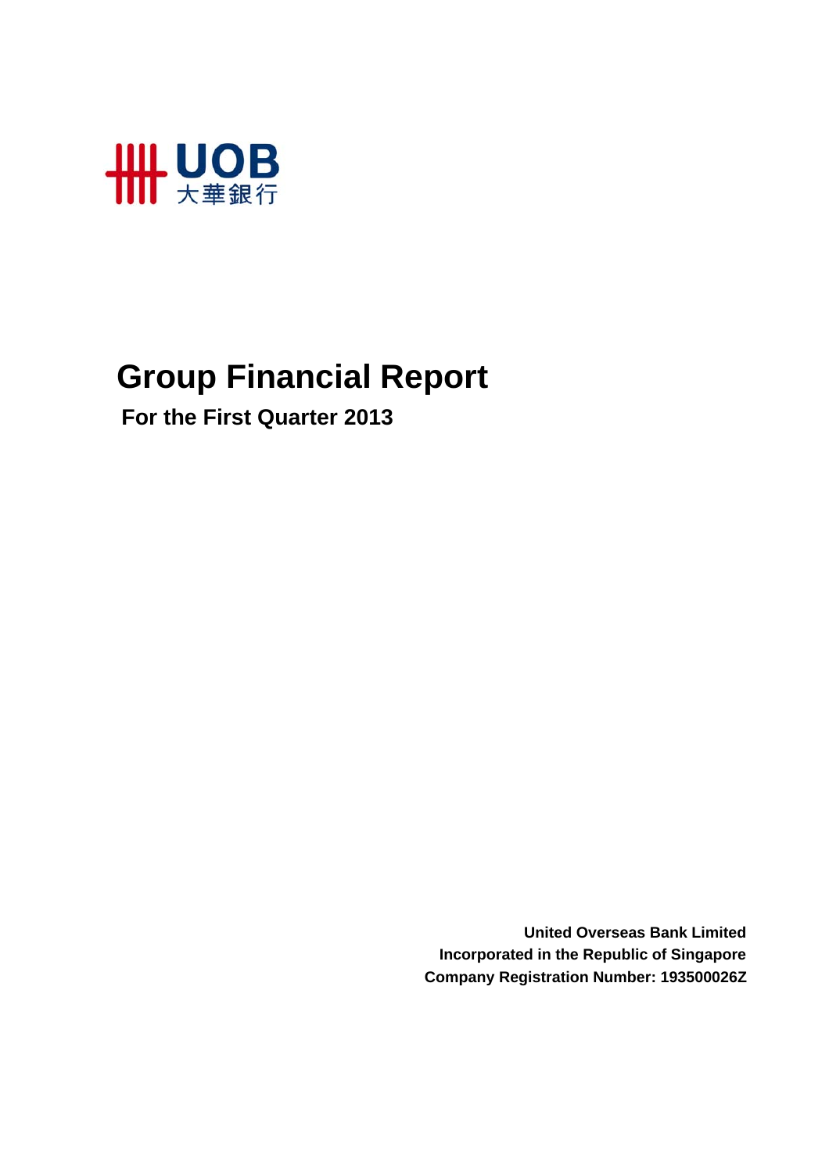

# **Group Financial Report**

 **For the First Quarter 2013**

**United Overseas Bank Limited Incorporated in the Republic of Singapore Company Registration Number: 193500026Z**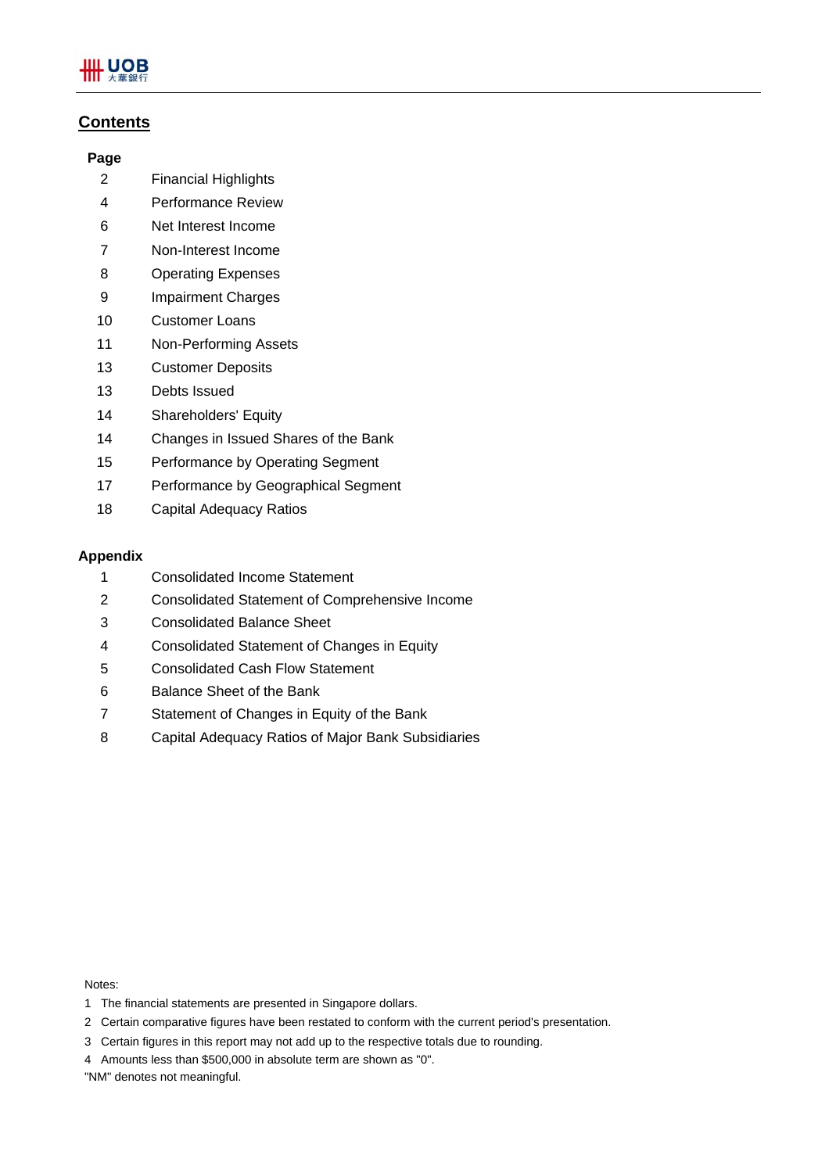

## **Contents**

## **Page**

- 2 Financial Highlights
- 4 Performance Review
- 6 Net Interest Income
- 7 Non-Interest Income
- 8 Operating Expenses
- 9 Impairment Charges
- 10 Customer Loans
- 11 Non-Performing Assets
- 13 Customer Deposits
- 13 Debts Issued
- 14 Shareholders' Equity
- 14 Changes in Issued Shares of the Bank
- 15 Performance by Operating Segment
- 17 Performance by Geographical Segment
- 18 Capital Adequacy Ratios

## **Appendix**

- 1 Consolidated Income Statement
- 2 Consolidated Statement of Comprehensive Income
- 3 Consolidated Balance Sheet
- 4 Consolidated Statement of Changes in Equity
- 5 Consolidated Cash Flow Statement
- 6 Balance Sheet of the Bank
- 7 Statement of Changes in Equity of the Bank
- 8 Capital Adequacy Ratios of Major Bank Subsidiaries

Notes:

- 1 The financial statements are presented in Singapore dollars.
- 2 Certain comparative figures have been restated to conform with the current period's presentation.
- 3 Certain figures in this report may not add up to the respective totals due to rounding.
- 4 Amounts less than \$500,000 in absolute term are shown as "0".

"NM" denotes not meaningful.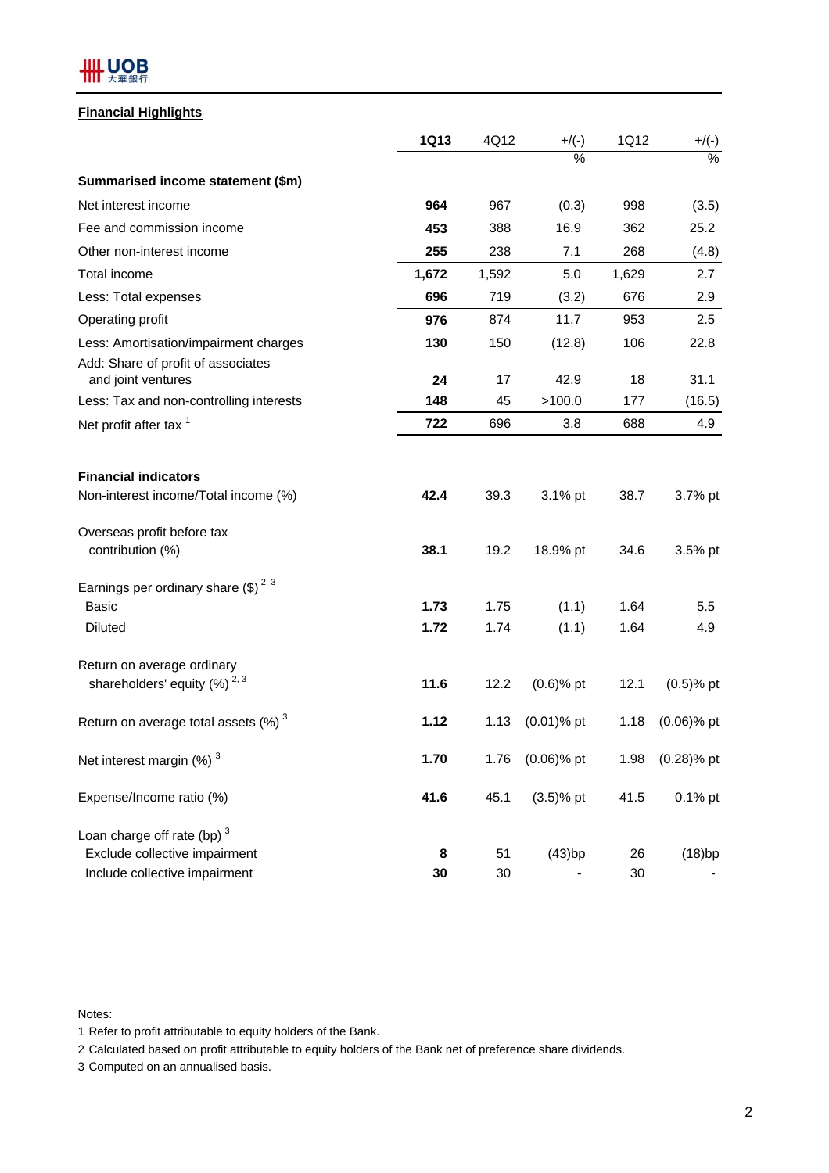

## **Financial Highlights**

|                                                    | <b>1Q13</b> | 4Q12  | $+$ /(-)      | 1Q12  | $+/(-)$       |
|----------------------------------------------------|-------------|-------|---------------|-------|---------------|
|                                                    |             |       | %             |       | $\frac{0}{6}$ |
| Summarised income statement (\$m)                  |             |       |               |       |               |
| Net interest income                                | 964         | 967   | (0.3)         | 998   | (3.5)         |
| Fee and commission income                          | 453         | 388   | 16.9          | 362   | 25.2          |
| Other non-interest income                          | 255         | 238   | 7.1           | 268   | (4.8)         |
| Total income                                       | 1,672       | 1,592 | 5.0           | 1,629 | 2.7           |
| Less: Total expenses                               | 696         | 719   | (3.2)         | 676   | 2.9           |
| Operating profit                                   | 976         | 874   | 11.7          | 953   | 2.5           |
| Less: Amortisation/impairment charges              | 130         | 150   | (12.8)        | 106   | 22.8          |
| Add: Share of profit of associates                 |             |       |               |       |               |
| and joint ventures                                 | 24          | 17    | 42.9          | 18    | 31.1          |
| Less: Tax and non-controlling interests            | 148         | 45    | >100.0        | 177   | (16.5)        |
| Net profit after tax <sup>1</sup>                  | 722         | 696   | 3.8           | 688   | 4.9           |
| <b>Financial indicators</b>                        |             |       |               |       |               |
| Non-interest income/Total income (%)               | 42.4        | 39.3  | 3.1% pt       | 38.7  | 3.7% pt       |
| Overseas profit before tax                         |             |       |               |       |               |
| contribution (%)                                   | 38.1        | 19.2  | 18.9% pt      | 34.6  | 3.5% pt       |
| Earnings per ordinary share $(\text{$\$})^{2,3}$   |             |       |               |       |               |
| <b>Basic</b>                                       | 1.73        | 1.75  | (1.1)         | 1.64  | 5.5           |
| <b>Diluted</b>                                     | 1.72        | 1.74  | (1.1)         | 1.64  | 4.9           |
| Return on average ordinary                         |             |       |               |       |               |
| shareholders' equity $(%)^{2,3}$                   | 11.6        | 12.2  | $(0.6)$ % pt  | 12.1  | $(0.5)$ % pt  |
| Return on average total assets $(\%)$ <sup>3</sup> | 1.12        | 1.13  | $(0.01)$ % pt | 1.18  | $(0.06)$ % pt |
| Net interest margin (%) <sup>3</sup>               | 1.70        | 1.76  | $(0.06)$ % pt | 1.98  | $(0.28)$ % pt |
| Expense/Income ratio (%)                           | 41.6        | 45.1  | $(3.5)$ % pt  | 41.5  | 0.1% pt       |
| Loan charge off rate (bp) $3$                      |             |       |               |       |               |
| Exclude collective impairment                      | 8           | 51    | (43)bp        | 26    | (18)bp        |
| Include collective impairment                      | 30          | 30    |               | 30    |               |

Notes:

1 Refer to profit attributable to equity holders of the Bank.

2 Calculated based on profit attributable to equity holders of the Bank net of preference share dividends.

3 Computed on an annualised basis.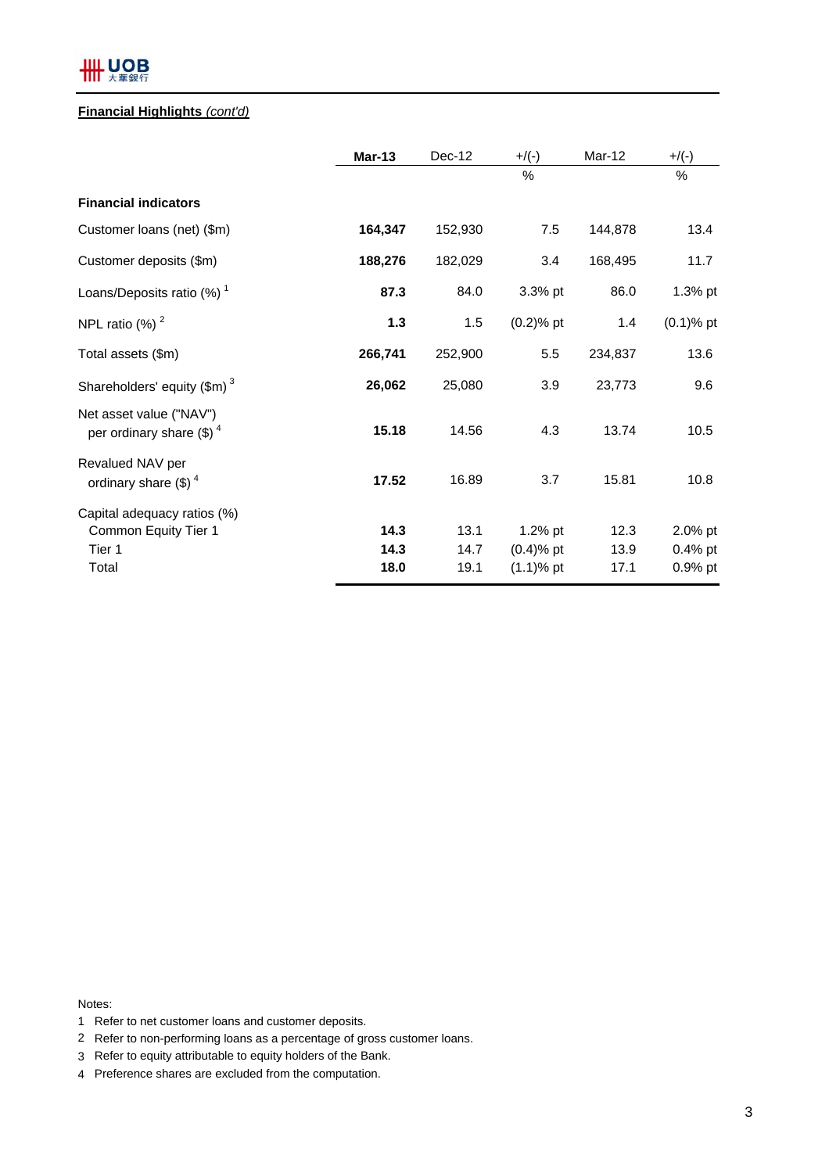# **HH UOB**

## **Financial Highlights** *(cont'd)*

|                                                               | <b>Mar-13</b> | Dec-12  | $+$ /(-)     | Mar-12  | $+$ /(-)     |
|---------------------------------------------------------------|---------------|---------|--------------|---------|--------------|
|                                                               |               |         | $\%$         |         | $\%$         |
| <b>Financial indicators</b>                                   |               |         |              |         |              |
| Customer loans (net) (\$m)                                    | 164,347       | 152,930 | 7.5          | 144,878 | 13.4         |
| Customer deposits (\$m)                                       | 188,276       | 182,029 | 3.4          | 168,495 | 11.7         |
| Loans/Deposits ratio $(\%)$ <sup>1</sup>                      | 87.3          | 84.0    | 3.3% pt      | 86.0    | 1.3% pt      |
| NPL ratio $(\%)$ <sup>2</sup>                                 | $1.3$         | 1.5     | $(0.2)$ % pt | 1.4     | $(0.1)$ % pt |
| Total assets (\$m)                                            | 266,741       | 252,900 | 5.5          | 234,837 | 13.6         |
| Shareholders' equity $(\text{Im})^3$                          | 26,062        | 25,080  | 3.9          | 23,773  | 9.6          |
| Net asset value ("NAV")<br>per ordinary share $(\text{\$})^4$ | 15.18         | 14.56   | 4.3          | 13.74   | 10.5         |
| Revalued NAV per<br>ordinary share $(\text{$\$})^4$           | 17.52         | 16.89   | 3.7          | 15.81   | 10.8         |
| Capital adequacy ratios (%)                                   |               |         |              |         |              |
| Common Equity Tier 1                                          | 14.3          | 13.1    | 1.2% pt      | 12.3    | 2.0% pt      |
| Tier 1                                                        | 14.3          | 14.7    | $(0.4)$ % pt | 13.9    | 0.4% pt      |
| Total                                                         | 18.0          | 19.1    | $(1.1)$ % pt | 17.1    | 0.9% pt      |

Notes:

- 1 Refer to net customer loans and customer deposits.
- 2 Refer to non-performing loans as a percentage of gross customer loans.
- 3 Refer to equity attributable to equity holders of the Bank.
- 4 Preference shares are excluded from the computation.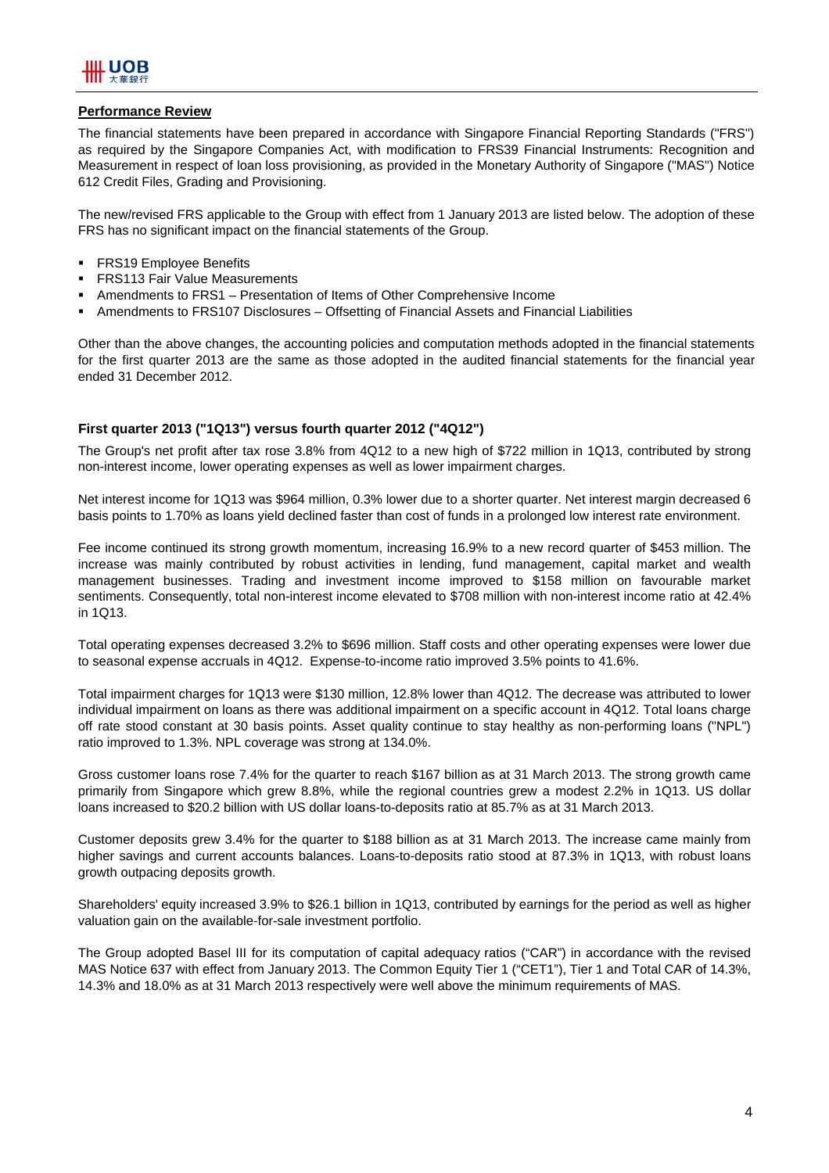

#### **Performance Review**

The financial statements have been prepared in accordance with Singapore Financial Reporting Standards ("FRS") as required by the Singapore Companies Act, with modification to FRS39 Financial Instruments: Recognition and Measurement in respect of loan loss provisioning, as provided in the Monetary Authority of Singapore ("MAS") Notice 612 Credit Files, Grading and Provisioning.

The new/revised FRS applicable to the Group with effect from 1 January 2013 are listed below. The adoption of these FRS has no significant impact on the financial statements of the Group.

- **FRS19 Employee Benefits**
- **FRS113 Fair Value Measurements**
- Amendments to FRS1 Presentation of Items of Other Comprehensive Income
- Amendments to FRS107 Disclosures Offsetting of Financial Assets and Financial Liabilities

Other than the above changes, the accounting policies and computation methods adopted in the financial statements for the first quarter 2013 are the same as those adopted in the audited financial statements for the financial year ended 31 December 2012.

#### **First quarter 2013 ("1Q13") versus fourth quarter 2012 ("4Q12")**

The Group's net profit after tax rose 3.8% from 4Q12 to a new high of \$722 million in 1Q13, contributed by strong non-interest income, lower operating expenses as well as lower impairment charges.

Net interest income for 1Q13 was \$964 million, 0.3% lower due to a shorter quarter. Net interest margin decreased 6 basis points to 1.70% as loans yield declined faster than cost of funds in a prolonged low interest rate environment.

Fee income continued its strong growth momentum, increasing 16.9% to a new record quarter of \$453 million. The increase was mainly contributed by robust activities in lending, fund management, capital market and wealth management businesses. Trading and investment income improved to \$158 million on favourable market sentiments. Consequently, total non-interest income elevated to \$708 million with non-interest income ratio at 42.4% in 1Q13.

Total operating expenses decreased 3.2% to \$696 million. Staff costs and other operating expenses were lower due to seasonal expense accruals in 4Q12. Expense-to-income ratio improved 3.5% points to 41.6%.

Total impairment charges for 1Q13 were \$130 million, 12.8% lower than 4Q12. The decrease was attributed to lower individual impairment on loans as there was additional impairment on a specific account in 4Q12. Total loans charge off rate stood constant at 30 basis points. Asset quality continue to stay healthy as non-performing loans ("NPL") ratio improved to 1.3%. NPL coverage was strong at 134.0%.

Gross customer loans rose 7.4% for the quarter to reach \$167 billion as at 31 March 2013. The strong growth came primarily from Singapore which grew 8.8%, while the regional countries grew a modest 2.2% in 1Q13. US dollar loans increased to \$20.2 billion with US dollar loans-to-deposits ratio at 85.7% as at 31 March 2013.

Customer deposits grew 3.4% for the quarter to \$188 billion as at 31 March 2013. The increase came mainly from higher savings and current accounts balances. Loans-to-deposits ratio stood at 87.3% in 1Q13, with robust loans growth outpacing deposits growth.

Shareholders' equity increased 3.9% to \$26.1 billion in 1Q13, contributed by earnings for the period as well as higher valuation gain on the available-for-sale investment portfolio.

The Group adopted Basel III for its computation of capital adequacy ratios ("CAR") in accordance with the revised MAS Notice 637 with effect from January 2013. The Common Equity Tier 1 ("CET1"), Tier 1 and Total CAR of 14.3%, 14.3% and 18.0% as at 31 March 2013 respectively were well above the minimum requirements of MAS.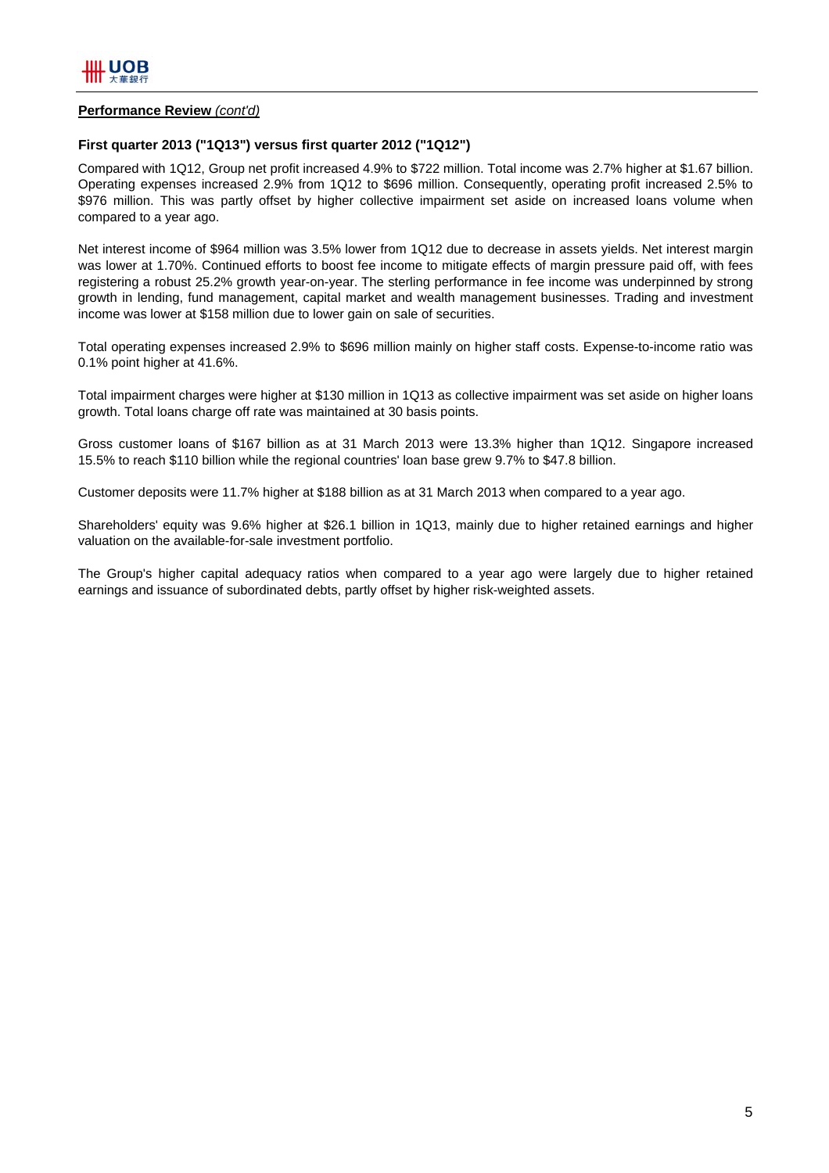#### **Performance Review** *(cont'd)*

## **First quarter 2013 ("1Q13") versus first quarter 2012 ("1Q12")**

Compared with 1Q12, Group net profit increased 4.9% to \$722 million. Total income was 2.7% higher at \$1.67 billion. Operating expenses increased 2.9% from 1Q12 to \$696 million. Consequently, operating profit increased 2.5% to \$976 million. This was partly offset by higher collective impairment set aside on increased loans volume when compared to a year ago.

Net interest income of \$964 million was 3.5% lower from 1Q12 due to decrease in assets yields. Net interest margin was lower at 1.70%. Continued efforts to boost fee income to mitigate effects of margin pressure paid off, with fees registering a robust 25.2% growth year-on-year. The sterling performance in fee income was underpinned by strong growth in lending, fund management, capital market and wealth management businesses. Trading and investment income was lower at \$158 million due to lower gain on sale of securities.

Total operating expenses increased 2.9% to \$696 million mainly on higher staff costs. Expense-to-income ratio was 0.1% point higher at 41.6%.

Total impairment charges were higher at \$130 million in 1Q13 as collective impairment was set aside on higher loans growth. Total loans charge off rate was maintained at 30 basis points.

Gross customer loans of \$167 billion as at 31 March 2013 were 13.3% higher than 1Q12. Singapore increased 15.5% to reach \$110 billion while the regional countries' loan base grew 9.7% to \$47.8 billion.

Customer deposits were 11.7% higher at \$188 billion as at 31 March 2013 when compared to a year ago.

Shareholders' equity was 9.6% higher at \$26.1 billion in 1Q13, mainly due to higher retained earnings and higher valuation on the available-for-sale investment portfolio.

The Group's higher capital adequacy ratios when compared to a year ago were largely due to higher retained earnings and issuance of subordinated debts, partly offset by higher risk-weighted assets.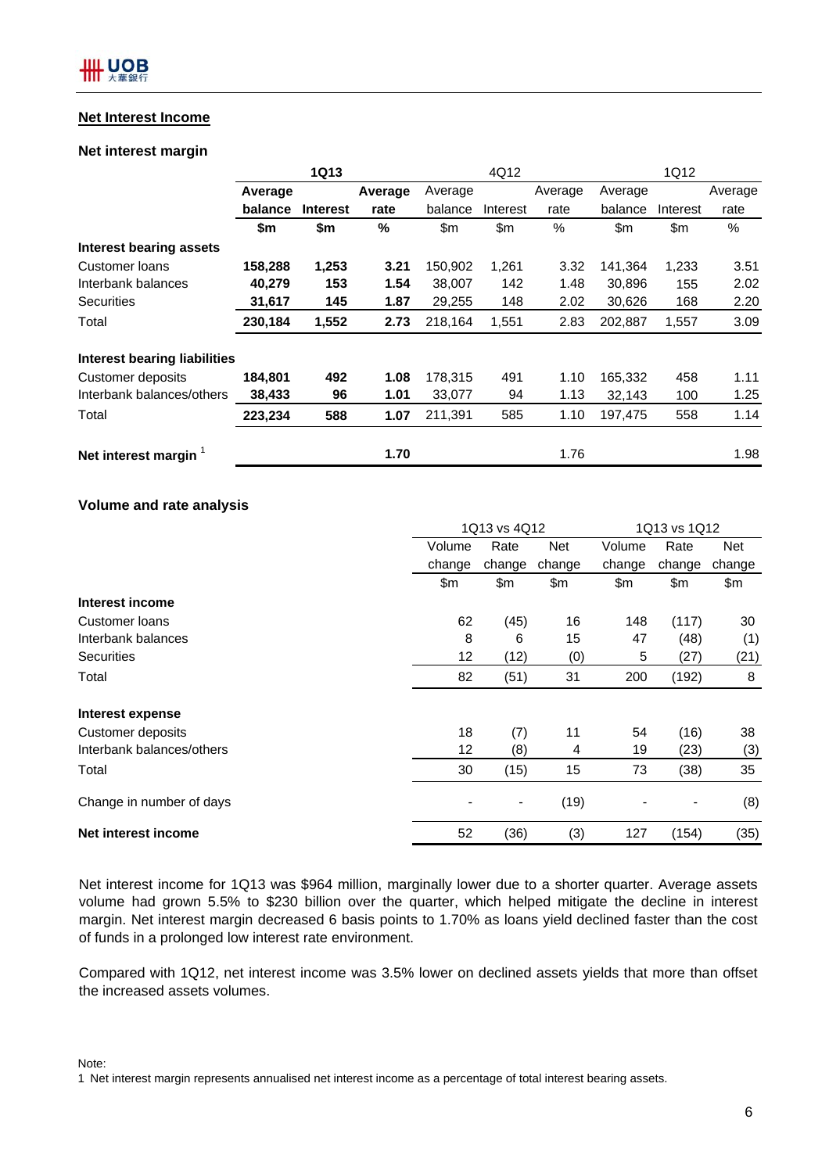## **Net Interest Income**

## **Net interest margin**

|                              |         | <b>1Q13</b>     |         |         | 4Q12     |         |         | 1Q12     |         |
|------------------------------|---------|-----------------|---------|---------|----------|---------|---------|----------|---------|
|                              | Average |                 | Average | Average |          | Average | Average |          | Average |
|                              | balance | <b>Interest</b> | rate    | balance | Interest | rate    | balance | Interest | rate    |
|                              | \$m     | \$m             | %       | \$m     | \$m      | $\%$    | \$m     | \$m      | %       |
| Interest bearing assets      |         |                 |         |         |          |         |         |          |         |
| Customer Ioans               | 158,288 | 1,253           | 3.21    | 150,902 | 1,261    | 3.32    | 141,364 | 1,233    | 3.51    |
| Interbank balances           | 40,279  | 153             | 1.54    | 38,007  | 142      | 1.48    | 30,896  | 155      | 2.02    |
| <b>Securities</b>            | 31,617  | 145             | 1.87    | 29,255  | 148      | 2.02    | 30,626  | 168      | 2.20    |
| Total                        | 230,184 | 1,552           | 2.73    | 218,164 | 1,551    | 2.83    | 202,887 | 1,557    | 3.09    |
| Interest bearing liabilities |         |                 |         |         |          |         |         |          |         |
| <b>Customer deposits</b>     | 184,801 | 492             | 1.08    | 178,315 | 491      | 1.10    | 165,332 | 458      | 1.11    |
| Interbank balances/others    | 38,433  | 96              | 1.01    | 33,077  | 94       | 1.13    | 32,143  | 100      | 1.25    |
| Total                        | 223,234 | 588             | 1.07    | 211,391 | 585      | 1.10    | 197,475 | 558      | 1.14    |
| Net interest margin          |         |                 | 1.70    |         |          | 1.76    |         |          | 1.98    |

## **Volume and rate analysis**

|                           | 1Q13 vs 4Q12 |                |        | 1Q13 vs 1Q12 |                              |        |
|---------------------------|--------------|----------------|--------|--------------|------------------------------|--------|
|                           | Volume       | Rate           | Net    | Volume       | Rate                         | Net    |
|                           | change       | change         | change | change       | change                       | change |
|                           | \$m          | \$m            | \$m    | \$m          | \$m                          | \$m    |
| Interest income           |              |                |        |              |                              |        |
| Customer Ioans            | 62           | (45)           | 16     | 148          | (117)                        | 30     |
| Interbank balances        | 8            | 6              | 15     | 47           | (48)                         | (1)    |
| <b>Securities</b>         | 12           | (12)           | (0)    | 5            | (27)                         | (21)   |
| Total                     | 82           | (51)           | 31     | 200          | (192)                        | 8      |
| Interest expense          |              |                |        |              |                              |        |
| Customer deposits         | 18           | (7)            | 11     | 54           | (16)                         | 38     |
| Interbank balances/others | 12           | (8)            | 4      | 19           | (23)                         | (3)    |
| Total                     | 30           | (15)           | 15     | 73           | (38)                         | 35     |
| Change in number of days  |              | $\blacksquare$ | (19)   |              | $\qquad \qquad \blacksquare$ | (8)    |
| Net interest income       | 52           | (36)           | (3)    | 127          | (154)                        | (35)   |

Net interest income for 1Q13 was \$964 million, marginally lower due to a shorter quarter. Average assets volume had grown 5.5% to \$230 billion over the quarter, which helped mitigate the decline in interest margin. Net interest margin decreased 6 basis points to 1.70% as loans yield declined faster than the cost of funds in a prolonged low interest rate environment.

Compared with 1Q12, net interest income was 3.5% lower on declined assets yields that more than offset the increased assets volumes.

Note:

1 Net interest margin represents annualised net interest income as a percentage of total interest bearing assets.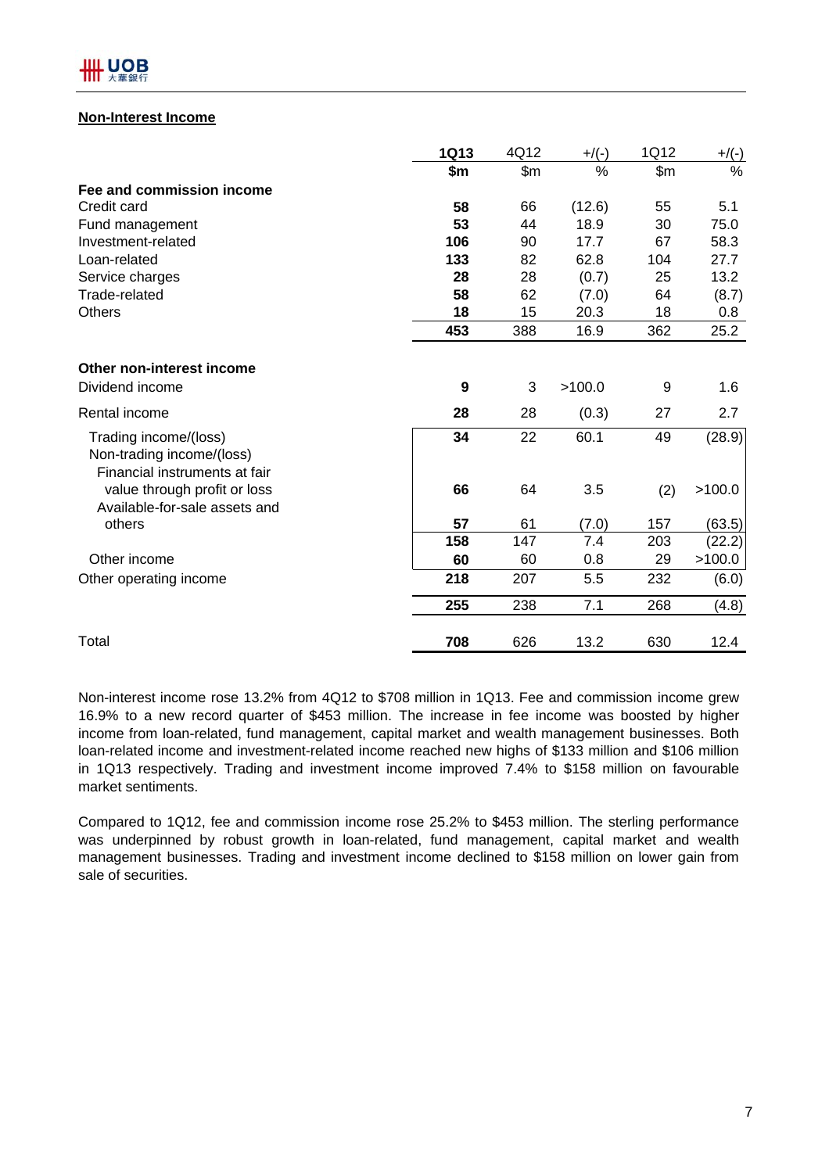

## **Non-Interest Income**

|                                                                                     | <b>1Q13</b> | 4Q12           | $+$ /(-) | 1Q12  | $+/(-)$ |
|-------------------------------------------------------------------------------------|-------------|----------------|----------|-------|---------|
|                                                                                     | \$m         | $\mathsf{S}$ m | %        | \$m\$ | %       |
| Fee and commission income                                                           |             |                |          |       |         |
| Credit card                                                                         | 58          | 66             | (12.6)   | 55    | 5.1     |
| Fund management                                                                     | 53          | 44             | 18.9     | 30    | 75.0    |
| Investment-related                                                                  | 106         | 90             | 17.7     | 67    | 58.3    |
| Loan-related                                                                        | 133         | 82             | 62.8     | 104   | 27.7    |
| Service charges                                                                     | 28          | 28             | (0.7)    | 25    | 13.2    |
| Trade-related                                                                       | 58          | 62             | (7.0)    | 64    | (8.7)   |
| <b>Others</b>                                                                       | 18          | 15             | 20.3     | 18    | 0.8     |
|                                                                                     | 453         | 388            | 16.9     | 362   | 25.2    |
| Other non-interest income                                                           |             |                |          |       |         |
| Dividend income                                                                     | 9           | 3              | >100.0   | 9     | 1.6     |
| Rental income                                                                       | 28          | 28             | (0.3)    | 27    | 2.7     |
| Trading income/(loss)<br>Non-trading income/(loss)<br>Financial instruments at fair | 34          | 22             | 60.1     | 49    | (28.9)  |
| value through profit or loss<br>Available-for-sale assets and                       | 66          | 64             | 3.5      | (2)   | >100.0  |
| others                                                                              | 57          | 61             | (7.0)    | 157   | (63.5)  |
|                                                                                     | 158         | 147            | 7.4      | 203   | (22.2)  |
| Other income                                                                        | 60          | 60             | 0.8      | 29    | >100.0  |
| Other operating income                                                              | 218         | 207            | 5.5      | 232   | (6.0)   |
|                                                                                     | 255         | 238            | 7.1      | 268   | (4.8)   |
| Total                                                                               | 708         | 626            | 13.2     | 630   | 12.4    |

Non-interest income rose 13.2% from 4Q12 to \$708 million in 1Q13. Fee and commission income grew 16.9% to a new record quarter of \$453 million. The increase in fee income was boosted by higher income from loan-related, fund management, capital market and wealth management businesses. Both loan-related income and investment-related income reached new highs of \$133 million and \$106 million in 1Q13 respectively. Trading and investment income improved 7.4% to \$158 million on favourable market sentiments.

Compared to 1Q12, fee and commission income rose 25.2% to \$453 million. The sterling performance was underpinned by robust growth in loan-related, fund management, capital market and wealth management businesses. Trading and investment income declined to \$158 million on lower gain from sale of securities.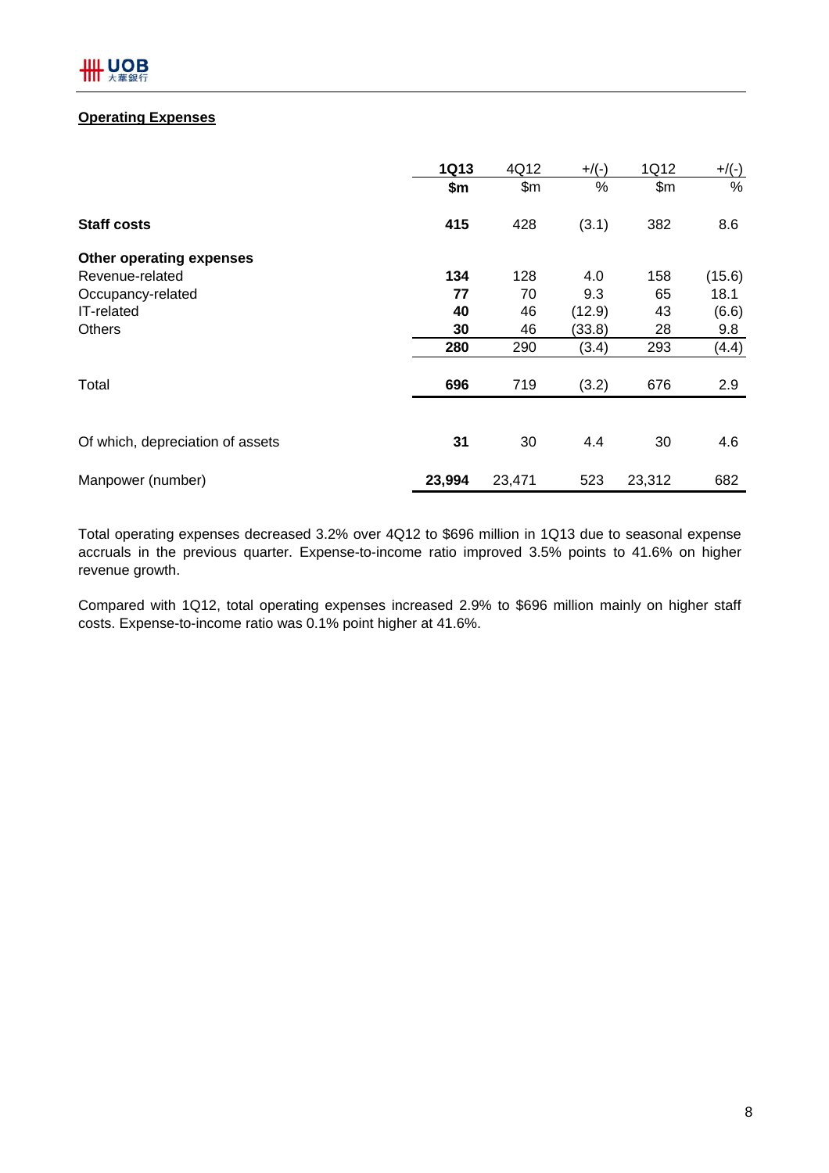## **Operating Expenses**

|                                  | <b>1Q13</b> | 4Q12   | $+$ /(-) | 1Q12   | $+/(-)$ |
|----------------------------------|-------------|--------|----------|--------|---------|
|                                  | \$m\$       | \$m\$  | %        | \$m\$  | %       |
| <b>Staff costs</b>               | 415         | 428    | (3.1)    | 382    | 8.6     |
| <b>Other operating expenses</b>  |             |        |          |        |         |
| Revenue-related                  | 134         | 128    | 4.0      | 158    | (15.6)  |
| Occupancy-related                | 77          | 70     | 9.3      | 65     | 18.1    |
| IT-related                       | 40          | 46     | (12.9)   | 43     | (6.6)   |
| <b>Others</b>                    | 30          | 46     | (33.8)   | 28     | 9.8     |
|                                  | 280         | 290    | (3.4)    | 293    | (4.4)   |
| Total                            | 696         | 719    | (3.2)    | 676    | 2.9     |
|                                  |             |        |          |        |         |
| Of which, depreciation of assets | 31          | 30     | 4.4      | 30     | 4.6     |
| Manpower (number)                | 23,994      | 23,471 | 523      | 23,312 | 682     |

Total operating expenses decreased 3.2% over 4Q12 to \$696 million in 1Q13 due to seasonal expense accruals in the previous quarter. Expense-to-income ratio improved 3.5% points to 41.6% on higher revenue growth.

Compared with 1Q12, total operating expenses increased 2.9% to \$696 million mainly on higher staff costs. Expense-to-income ratio was 0.1% point higher at 41.6%.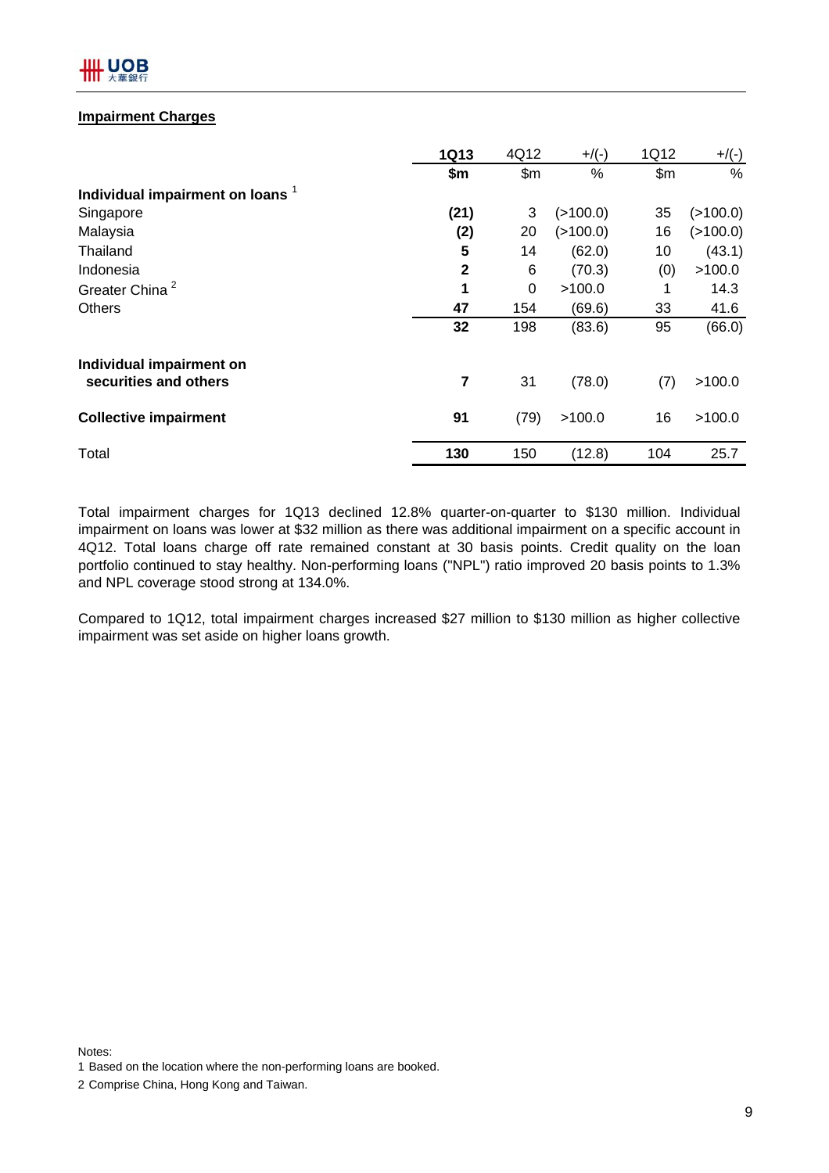

## **Impairment Charges**

|                                             | <b>1Q13</b> | 4Q12  | $+$ /(-) | 1Q12  | $+$ /(-) |
|---------------------------------------------|-------------|-------|----------|-------|----------|
|                                             | \$m         | \$m\$ | $\%$     | \$m\$ | %        |
| Individual impairment on loans <sup>1</sup> |             |       |          |       |          |
| Singapore                                   | (21)        | 3     | (>100.0) | 35    | (>100.0) |
| Malaysia                                    | (2)         | 20    | (>100.0) | 16    | (>100.0) |
| Thailand                                    | 5           | 14    | (62.0)   | 10    | (43.1)   |
| Indonesia                                   | 2           | 6     | (70.3)   | (0)   | >100.0   |
| Greater China <sup>2</sup>                  | 1           | 0     | >100.0   | 1     | 14.3     |
| <b>Others</b>                               | 47          | 154   | (69.6)   | 33    | 41.6     |
|                                             | 32          | 198   | (83.6)   | 95    | (66.0)   |
| Individual impairment on                    |             |       |          |       |          |
| securities and others                       | 7           | 31    | (78.0)   | (7)   | >100.0   |
| <b>Collective impairment</b>                | 91          | (79)  | >100.0   | 16    | >100.0   |
| Total                                       | 130         | 150   | (12.8)   | 104   | 25.7     |

Total impairment charges for 1Q13 declined 12.8% quarter-on-quarter to \$130 million. Individual impairment on loans was lower at \$32 million as there was additional impairment on a specific account in 4Q12. Total loans charge off rate remained constant at 30 basis points. Credit quality on the loan portfolio continued to stay healthy. Non-performing loans ("NPL") ratio improved 20 basis points to 1.3% and NPL coverage stood strong at 134.0%.

Compared to 1Q12, total impairment charges increased \$27 million to \$130 million as higher collective impairment was set aside on higher loans growth.

Notes: 1 Based on the location where the non-performing loans are booked.

2 Comprise China, Hong Kong and Taiwan.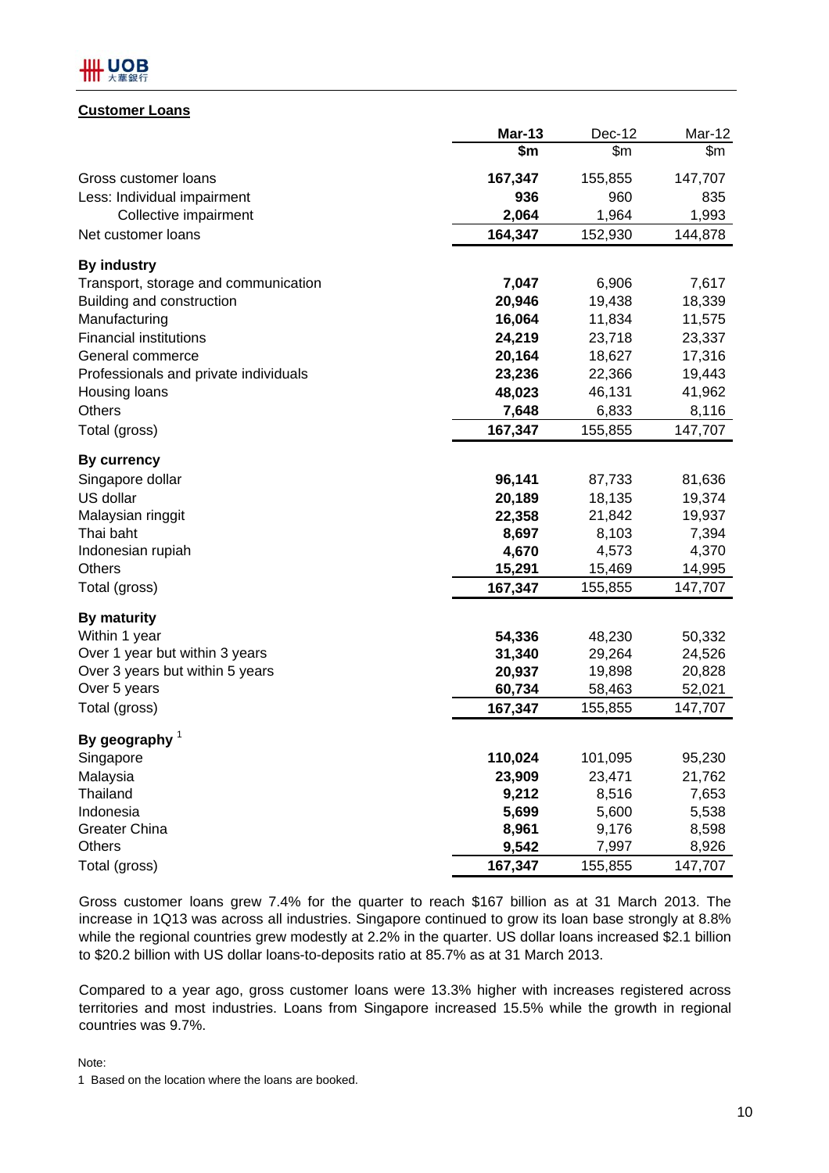

## **Customer Loans**

|                                       | <b>Mar-13</b> | Dec-12  | Mar-12  |
|---------------------------------------|---------------|---------|---------|
|                                       | \$m           | \$m\$   | \$m     |
| Gross customer loans                  | 167,347       | 155,855 | 147,707 |
| Less: Individual impairment           | 936           | 960     | 835     |
| Collective impairment                 | 2,064         | 1,964   | 1,993   |
| Net customer loans                    | 164,347       | 152,930 | 144,878 |
| <b>By industry</b>                    |               |         |         |
| Transport, storage and communication  | 7,047         | 6,906   | 7,617   |
| Building and construction             | 20,946        | 19,438  | 18,339  |
| Manufacturing                         | 16,064        | 11,834  | 11,575  |
| <b>Financial institutions</b>         | 24,219        | 23,718  | 23,337  |
| General commerce                      | 20,164        | 18,627  | 17,316  |
| Professionals and private individuals | 23,236        | 22,366  | 19,443  |
| Housing loans                         | 48,023        | 46,131  | 41,962  |
| <b>Others</b>                         | 7,648         | 6,833   | 8,116   |
| Total (gross)                         | 167,347       | 155,855 | 147,707 |
| By currency                           |               |         |         |
| Singapore dollar                      | 96,141        | 87,733  | 81,636  |
| US dollar                             | 20,189        | 18,135  | 19,374  |
| Malaysian ringgit                     | 22,358        | 21,842  | 19,937  |
| Thai baht                             | 8,697         | 8,103   | 7,394   |
| Indonesian rupiah                     | 4,670         | 4,573   | 4,370   |
| Others                                | 15,291        | 15,469  | 14,995  |
| Total (gross)                         | 167,347       | 155,855 | 147,707 |
| <b>By maturity</b>                    |               |         |         |
| Within 1 year                         | 54,336        | 48,230  | 50,332  |
| Over 1 year but within 3 years        | 31,340        | 29,264  | 24,526  |
| Over 3 years but within 5 years       | 20,937        | 19,898  | 20,828  |
| Over 5 years                          | 60,734        | 58,463  | 52,021  |
| Total (gross)                         | 167,347       | 155,855 | 147,707 |
| By geography $1$                      |               |         |         |
| Singapore                             | 110,024       | 101,095 | 95,230  |
| Malaysia                              | 23,909        | 23,471  | 21,762  |
| <b>Thailand</b>                       | 9,212         | 8,516   | 7,653   |
| Indonesia                             | 5,699         | 5,600   | 5,538   |
| <b>Greater China</b>                  | 8,961         | 9,176   | 8,598   |
| <b>Others</b>                         | 9,542         | 7,997   | 8,926   |
| Total (gross)                         | 167,347       | 155,855 | 147,707 |

Gross customer loans grew 7.4% for the quarter to reach \$167 billion as at 31 March 2013. The increase in 1Q13 was across all industries. Singapore continued to grow its loan base strongly at 8.8% while the regional countries grew modestly at 2.2% in the quarter. US dollar loans increased \$2.1 billion to \$20.2 billion with US dollar loans-to-deposits ratio at 85.7% as at 31 March 2013.

Compared to a year ago, gross customer loans were 13.3% higher with increases registered across territories and most industries. Loans from Singapore increased 15.5% while the growth in regional countries was 9.7%.

#### Note:

1 Based on the location where the loans are booked.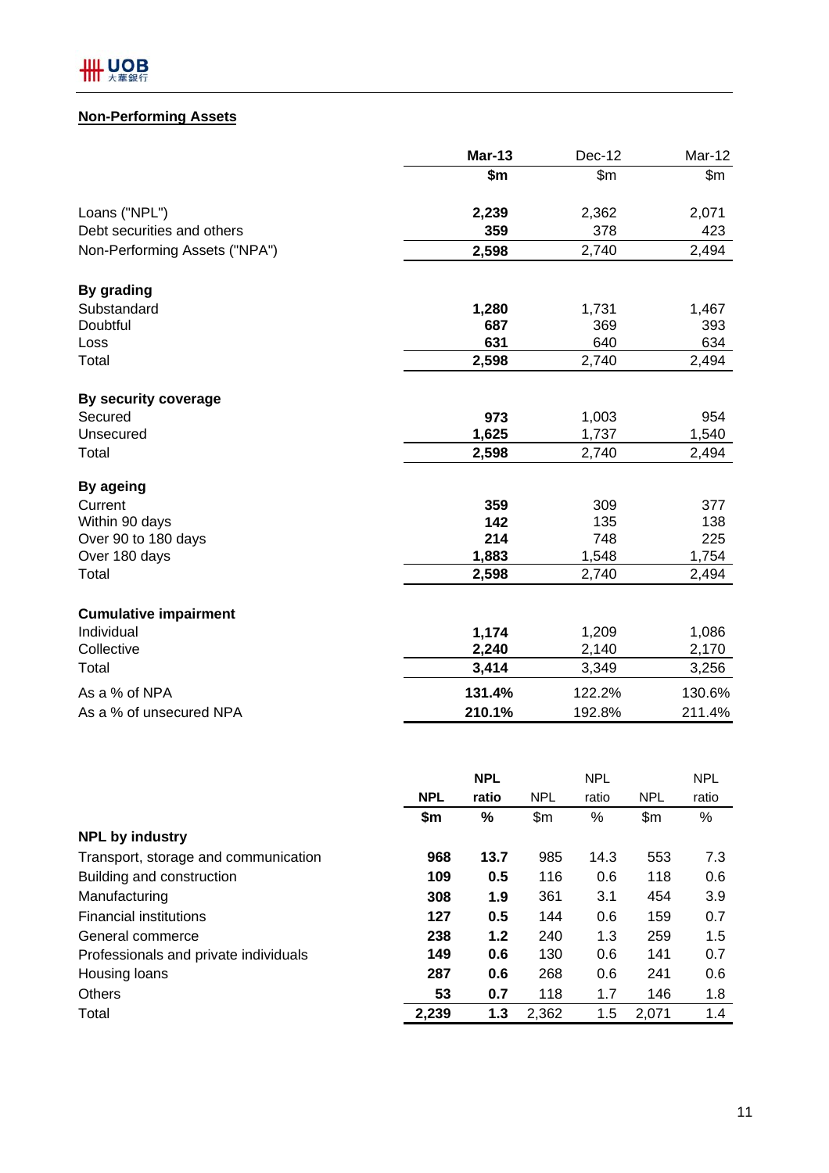# **Non-Performing Assets**

|                               | <b>Mar-13</b> | Dec-12 | Mar-12 |
|-------------------------------|---------------|--------|--------|
|                               | \$m           | \$m\$  | \$m\$  |
| Loans ("NPL")                 | 2,239         | 2,362  | 2,071  |
| Debt securities and others    | 359           | 378    | 423    |
| Non-Performing Assets ("NPA") | 2,598         | 2,740  | 2,494  |
| By grading                    |               |        |        |
| Substandard                   | 1,280         | 1,731  | 1,467  |
| Doubtful                      | 687           | 369    | 393    |
| Loss                          | 631           | 640    | 634    |
| Total                         | 2,598         | 2,740  | 2,494  |
| By security coverage          |               |        |        |
| Secured                       | 973           | 1,003  | 954    |
| Unsecured                     | 1,625         | 1,737  | 1,540  |
| Total                         | 2,598         | 2,740  | 2,494  |
| By ageing                     |               |        |        |
| Current                       | 359           | 309    | 377    |
| Within 90 days                | 142           | 135    | 138    |
| Over 90 to 180 days           | 214           | 748    | 225    |
| Over 180 days                 | 1,883         | 1,548  | 1,754  |
| Total                         | 2,598         | 2,740  | 2,494  |
| <b>Cumulative impairment</b>  |               |        |        |
| Individual                    | 1,174         | 1,209  | 1,086  |
| Collective                    | 2,240         | 2,140  | 2,170  |
| Total                         | 3,414         | 3,349  | 3,256  |
| As a % of NPA                 | 131.4%        | 122.2% | 130.6% |
| As a % of unsecured NPA       | 210.1%        | 192.8% | 211.4% |

|                                       |            | <b>NPL</b> |            | <b>NPL</b> |            | <b>NPL</b> |
|---------------------------------------|------------|------------|------------|------------|------------|------------|
|                                       | <b>NPL</b> | ratio      | <b>NPL</b> | ratio      | <b>NPL</b> | ratio      |
|                                       | \$m        | %          | \$m\$      | %          | \$m\$      | %          |
| <b>NPL by industry</b>                |            |            |            |            |            |            |
| Transport, storage and communication  | 968        | 13.7       | 985        | 14.3       | 553        | 7.3        |
| Building and construction             | 109        | 0.5        | 116        | 0.6        | 118        | 0.6        |
| Manufacturing                         | 308        | 1.9        | 361        | 3.1        | 454        | 3.9        |
| <b>Financial institutions</b>         | 127        | 0.5        | 144        | 0.6        | 159        | 0.7        |
| General commerce                      | 238        | 1.2        | 240        | 1.3        | 259        | 1.5        |
| Professionals and private individuals | 149        | 0.6        | 130        | 0.6        | 141        | 0.7        |
| Housing loans                         | 287        | 0.6        | 268        | 0.6        | 241        | 0.6        |
| <b>Others</b>                         | 53         | 0.7        | 118        | 1.7        | 146        | 1.8        |
| Total                                 | 2,239      | 1.3        | 2,362      | 1.5        | 2,071      | 1.4        |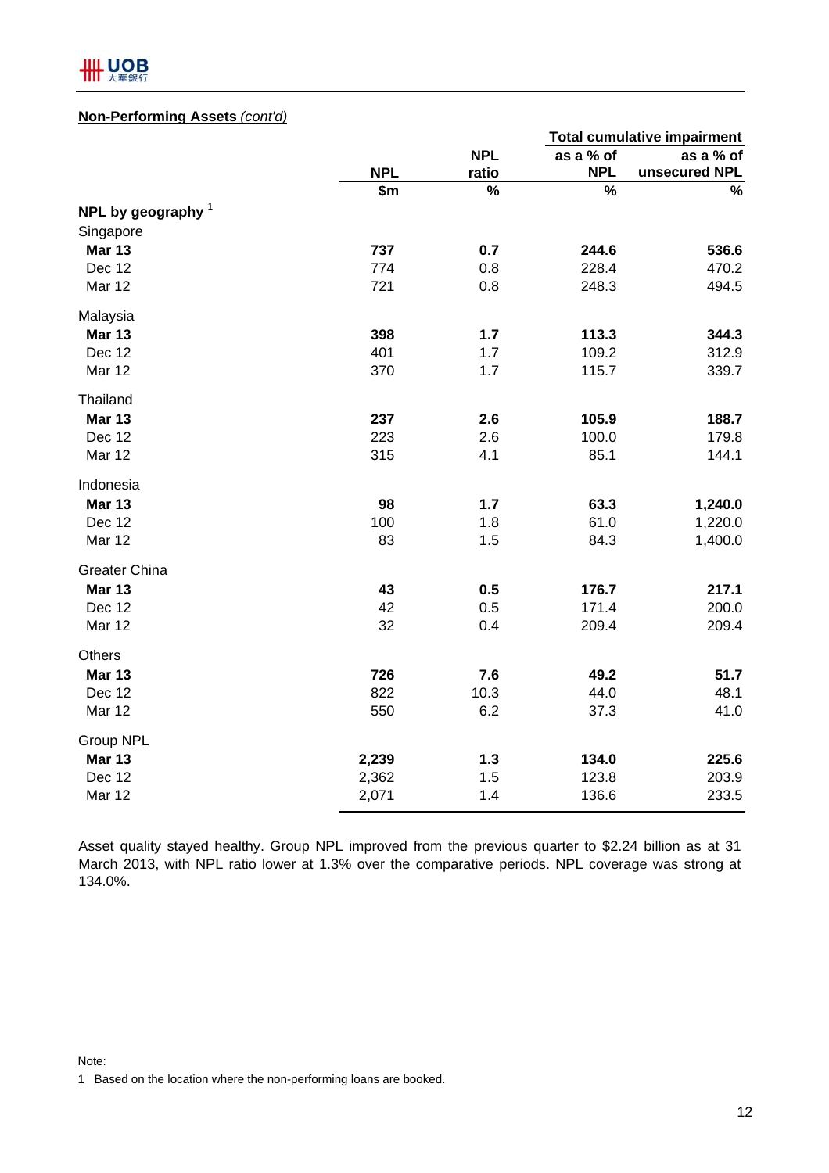

## **Non-Performing Assets** *(cont'd)*

|                      |            |            |            | <b>Total cumulative impairment</b> |
|----------------------|------------|------------|------------|------------------------------------|
|                      |            | <b>NPL</b> | as a % of  | as a % of                          |
|                      | <b>NPL</b> | ratio      | <b>NPL</b> | unsecured NPL                      |
|                      | \$m        | %          | %          | $\%$                               |
| NPL by geography $1$ |            |            |            |                                    |
| Singapore            |            |            |            |                                    |
| <b>Mar 13</b>        | 737        | 0.7        | 244.6      | 536.6                              |
| Dec 12               | 774        | 0.8        | 228.4      | 470.2                              |
| Mar 12               | 721        | 0.8        | 248.3      | 494.5                              |
| Malaysia             |            |            |            |                                    |
| <b>Mar 13</b>        | 398        | 1.7        | 113.3      | 344.3                              |
| Dec 12               | 401        | 1.7        | 109.2      | 312.9                              |
| Mar 12               | 370        | 1.7        | 115.7      | 339.7                              |
| Thailand             |            |            |            |                                    |
| <b>Mar 13</b>        | 237        | 2.6        | 105.9      | 188.7                              |
| Dec 12               | 223        | 2.6        | 100.0      | 179.8                              |
| Mar 12               | 315        | 4.1        | 85.1       | 144.1                              |
| Indonesia            |            |            |            |                                    |
| <b>Mar 13</b>        | 98         | 1.7        | 63.3       | 1,240.0                            |
| Dec 12               | 100        | 1.8        | 61.0       | 1,220.0                            |
| Mar 12               | 83         | 1.5        | 84.3       | 1,400.0                            |
| <b>Greater China</b> |            |            |            |                                    |
| <b>Mar 13</b>        | 43         | 0.5        | 176.7      | 217.1                              |
| Dec 12               | 42         | 0.5        | 171.4      | 200.0                              |
| Mar 12               | 32         | 0.4        | 209.4      | 209.4                              |
| Others               |            |            |            |                                    |
| <b>Mar 13</b>        | 726        | 7.6        | 49.2       | 51.7                               |
| Dec 12               | 822        | 10.3       | 44.0       | 48.1                               |
| Mar 12               | 550        | 6.2        | 37.3       | 41.0                               |
| Group NPL            |            |            |            |                                    |
| <b>Mar 13</b>        | 2,239      | $1.3$      | 134.0      | 225.6                              |
| Dec 12               | 2,362      | 1.5        | 123.8      | 203.9                              |
| Mar 12               | 2,071      | 1.4        | 136.6      | 233.5                              |

Asset quality stayed healthy. Group NPL improved from the previous quarter to \$2.24 billion as at 31 March 2013, with NPL ratio lower at 1.3% over the comparative periods. NPL coverage was strong at 134.0%.

Note:

1 Based on the location where the non-performing loans are booked.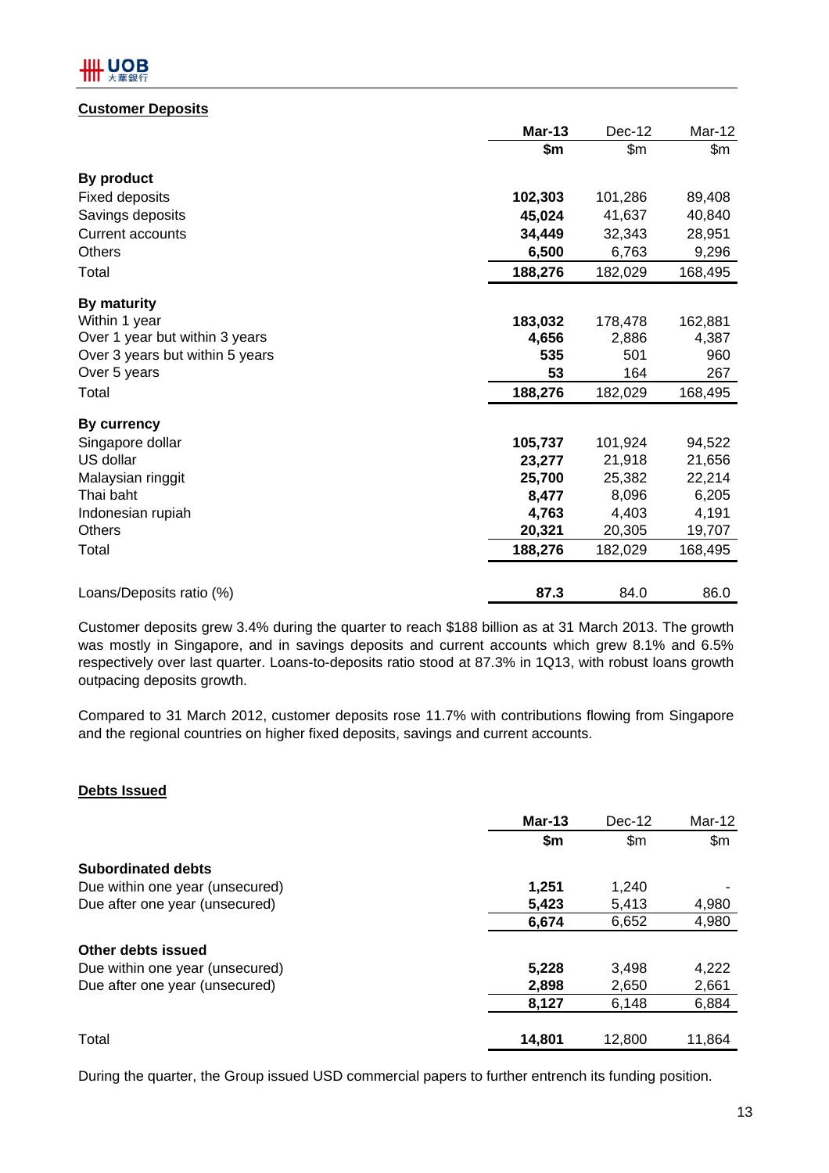## **Customer Deposits**

|                                 | <b>Mar-13</b> | Dec-12  | Mar-12  |
|---------------------------------|---------------|---------|---------|
|                                 | \$m           | \$m\$   | \$m     |
| By product                      |               |         |         |
| <b>Fixed deposits</b>           | 102,303       | 101,286 | 89,408  |
| Savings deposits                | 45,024        | 41,637  | 40,840  |
| <b>Current accounts</b>         | 34,449        | 32,343  | 28,951  |
| Others                          | 6,500         | 6,763   | 9,296   |
| Total                           | 188,276       | 182,029 | 168,495 |
| By maturity                     |               |         |         |
| Within 1 year                   | 183,032       | 178,478 | 162,881 |
| Over 1 year but within 3 years  | 4,656         | 2,886   | 4,387   |
| Over 3 years but within 5 years | 535           | 501     | 960     |
| Over 5 years                    | 53            | 164     | 267     |
| Total                           | 188,276       | 182,029 | 168,495 |
| By currency                     |               |         |         |
| Singapore dollar                | 105,737       | 101,924 | 94,522  |
| US dollar                       | 23,277        | 21,918  | 21,656  |
| Malaysian ringgit               | 25,700        | 25,382  | 22,214  |
| Thai baht                       | 8,477         | 8,096   | 6,205   |
| Indonesian rupiah               | 4,763         | 4,403   | 4,191   |
| <b>Others</b>                   | 20,321        | 20,305  | 19,707  |
| Total                           | 188,276       | 182,029 | 168,495 |
|                                 |               |         |         |
| Loans/Deposits ratio (%)        | 87.3          | 84.0    | 86.0    |

Customer deposits grew 3.4% during the quarter to reach \$188 billion as at 31 March 2013. The growth was mostly in Singapore, and in savings deposits and current accounts which grew 8.1% and 6.5% respectively over last quarter. Loans-to-deposits ratio stood at 87.3% in 1Q13, with robust loans growth outpacing deposits growth.

Compared to 31 March 2012, customer deposits rose 11.7% with contributions flowing from Singapore and the regional countries on higher fixed deposits, savings and current accounts.

## **Debts Issued**

|                                 | Mar-13 | $Dec-12$       | Mar-12 |
|---------------------------------|--------|----------------|--------|
|                                 | \$m    | $\mathsf{S}$ m | \$m\$  |
| <b>Subordinated debts</b>       |        |                |        |
| Due within one year (unsecured) | 1,251  | 1,240          |        |
| Due after one year (unsecured)  | 5,423  | 5,413          | 4,980  |
|                                 | 6,674  | 6,652          | 4,980  |
| Other debts issued              |        |                |        |
| Due within one year (unsecured) | 5,228  | 3,498          | 4,222  |
| Due after one year (unsecured)  | 2,898  | 2,650          | 2,661  |
|                                 | 8,127  | 6,148          | 6,884  |
| Total                           | 14,801 | 12,800         | 11,864 |

During the quarter, the Group issued USD commercial papers to further entrench its funding position.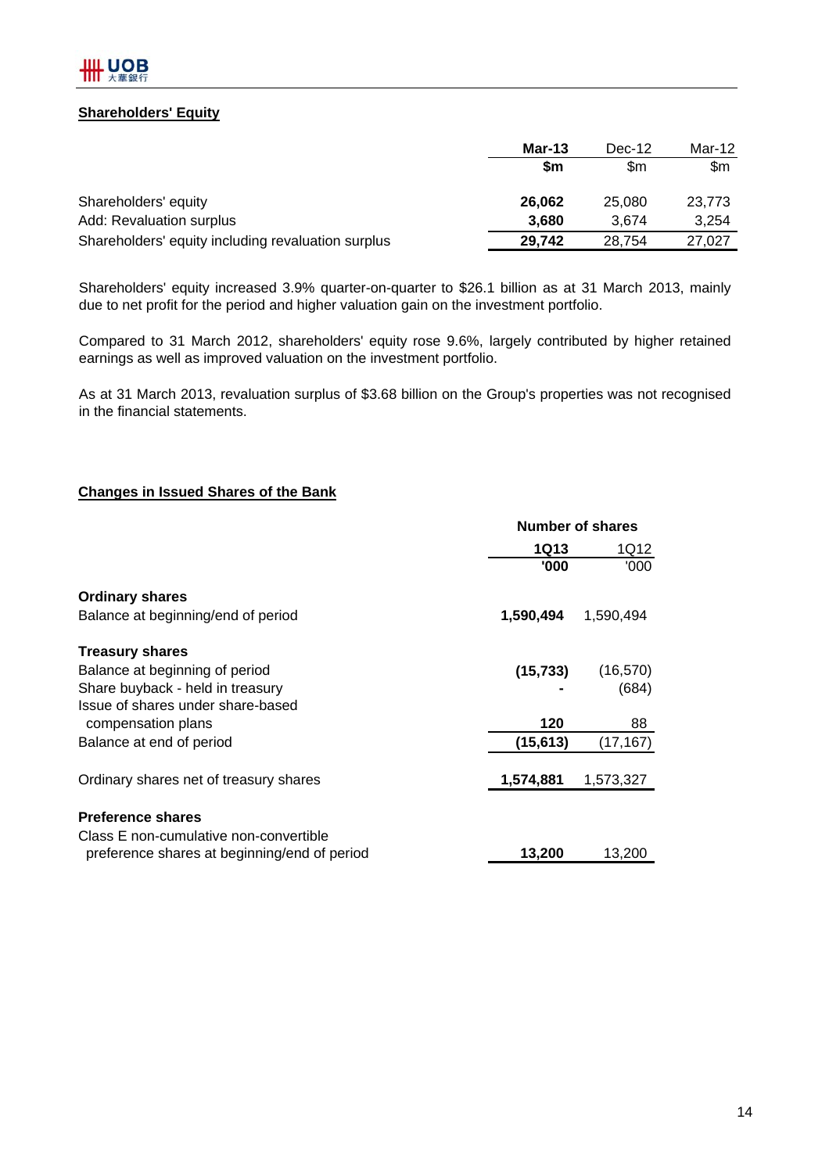

## **Shareholders' Equity**

|                                                    | Mar-13 | Dec-12 | Mar-12 |  |
|----------------------------------------------------|--------|--------|--------|--|
|                                                    | \$m    | \$m    | \$m    |  |
| Shareholders' equity                               | 26,062 | 25,080 | 23,773 |  |
| Add: Revaluation surplus                           | 3,680  | 3.674  | 3,254  |  |
| Shareholders' equity including revaluation surplus | 29.742 | 28,754 | 27,027 |  |

Shareholders' equity increased 3.9% quarter-on-quarter to \$26.1 billion as at 31 March 2013, mainly due to net profit for the period and higher valuation gain on the investment portfolio.

Compared to 31 March 2012, shareholders' equity rose 9.6%, largely contributed by higher retained earnings as well as improved valuation on the investment portfolio.

As at 31 March 2013, revaluation surplus of \$3.68 billion on the Group's properties was not recognised in the financial statements.

## **Changes in Issued Shares of the Bank**

|                                              |             | <b>Number of shares</b> |  |  |
|----------------------------------------------|-------------|-------------------------|--|--|
|                                              | <b>1Q13</b> | 1Q12                    |  |  |
|                                              | '000        | '000'                   |  |  |
| <b>Ordinary shares</b>                       |             |                         |  |  |
| Balance at beginning/end of period           | 1,590,494   | 1,590,494               |  |  |
| <b>Treasury shares</b>                       |             |                         |  |  |
| Balance at beginning of period               | (15, 733)   | (16, 570)               |  |  |
| Share buyback - held in treasury             |             | (684)                   |  |  |
| Issue of shares under share-based            |             |                         |  |  |
| compensation plans                           | 120         | 88                      |  |  |
| Balance at end of period                     | (15, 613)   | (17, 167)               |  |  |
| Ordinary shares net of treasury shares       | 1,574,881   | 1,573,327               |  |  |
| <b>Preference shares</b>                     |             |                         |  |  |
| Class E non-cumulative non-convertible       |             |                         |  |  |
| preference shares at beginning/end of period | 13,200      | 13,200                  |  |  |
|                                              |             |                         |  |  |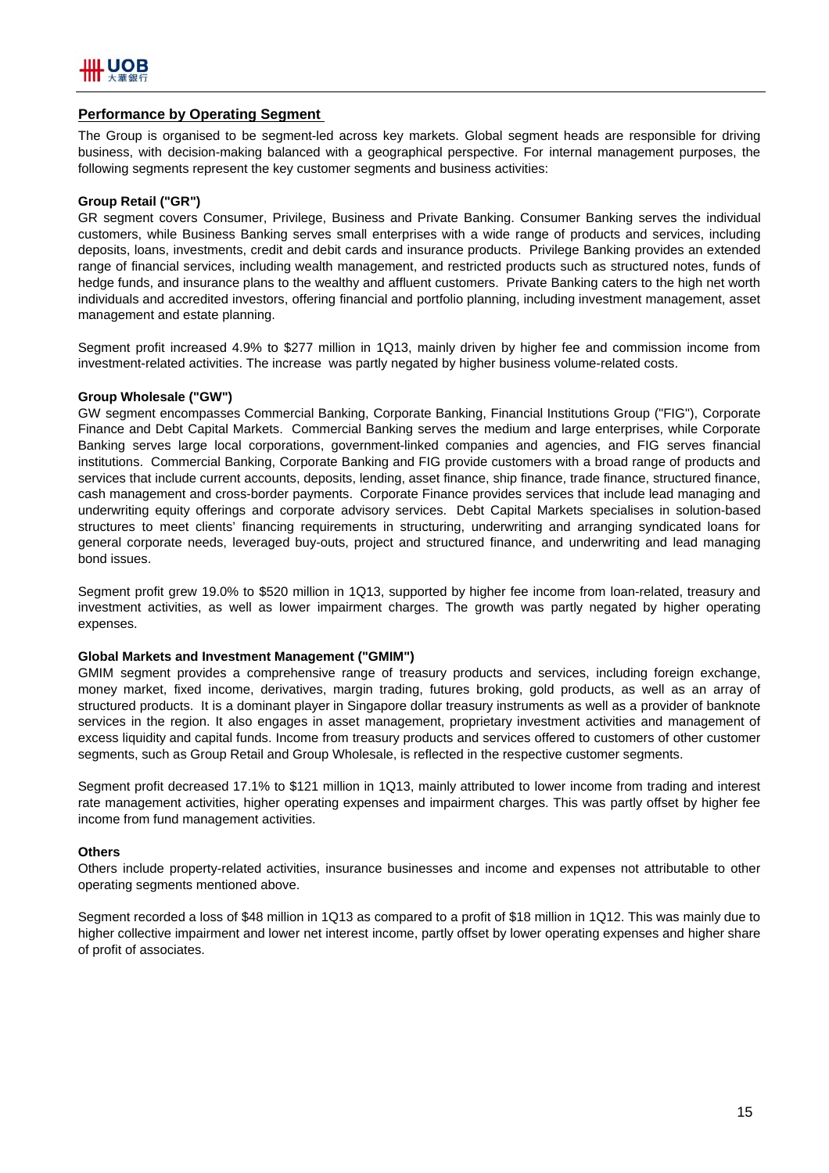

## **Performance by Operating Segment**

The Group is organised to be segment-led across key markets. Global segment heads are responsible for driving business, with decision-making balanced with a geographical perspective. For internal management purposes, the following segments represent the key customer segments and business activities:

#### **Group Retail ("GR")**

GR segment covers Consumer, Privilege, Business and Private Banking. Consumer Banking serves the individual customers, while Business Banking serves small enterprises with a wide range of products and services, including deposits, loans, investments, credit and debit cards and insurance products. Privilege Banking provides an extended range of financial services, including wealth management, and restricted products such as structured notes, funds of hedge funds, and insurance plans to the wealthy and affluent customers. Private Banking caters to the high net worth individuals and accredited investors, offering financial and portfolio planning, including investment management, asset management and estate planning.

Segment profit increased 4.9% to \$277 million in 1Q13, mainly driven by higher fee and commission income from investment-related activities. The increase was partly negated by higher business volume-related costs.

#### **Group Wholesale ("GW")**

GW segment encompasses Commercial Banking, Corporate Banking, Financial Institutions Group ("FIG"), Corporate Finance and Debt Capital Markets. Commercial Banking serves the medium and large enterprises, while Corporate Banking serves large local corporations, government-linked companies and agencies, and FIG serves financial institutions. Commercial Banking, Corporate Banking and FIG provide customers with a broad range of products and services that include current accounts, deposits, lending, asset finance, ship finance, trade finance, structured finance, cash management and cross-border payments. Corporate Finance provides services that include lead managing and underwriting equity offerings and corporate advisory services. Debt Capital Markets specialises in solution-based structures to meet clients' financing requirements in structuring, underwriting and arranging syndicated loans for general corporate needs, leveraged buy-outs, project and structured finance, and underwriting and lead managing bond issues.

Segment profit grew 19.0% to \$520 million in 1Q13, supported by higher fee income from loan-related, treasury and investment activities, as well as lower impairment charges. The growth was partly negated by higher operating expenses.

#### **Global Markets and Investment Management ("GMIM")**

GMIM segment provides a comprehensive range of treasury products and services, including foreign exchange, money market, fixed income, derivatives, margin trading, futures broking, gold products, as well as an array of structured products. It is a dominant player in Singapore dollar treasury instruments as well as a provider of banknote services in the region. It also engages in asset management, proprietary investment activities and management of excess liquidity and capital funds. Income from treasury products and services offered to customers of other customer segments, such as Group Retail and Group Wholesale, is reflected in the respective customer segments.

Segment profit decreased 17.1% to \$121 million in 1Q13, mainly attributed to lower income from trading and interest rate management activities, higher operating expenses and impairment charges. This was partly offset by higher fee income from fund management activities.

#### **Others**

Others include property-related activities, insurance businesses and income and expenses not attributable to other operating segments mentioned above.

Segment recorded a loss of \$48 million in 1Q13 as compared to a profit of \$18 million in 1Q12. This was mainly due to higher collective impairment and lower net interest income, partly offset by lower operating expenses and higher share of profit of associates.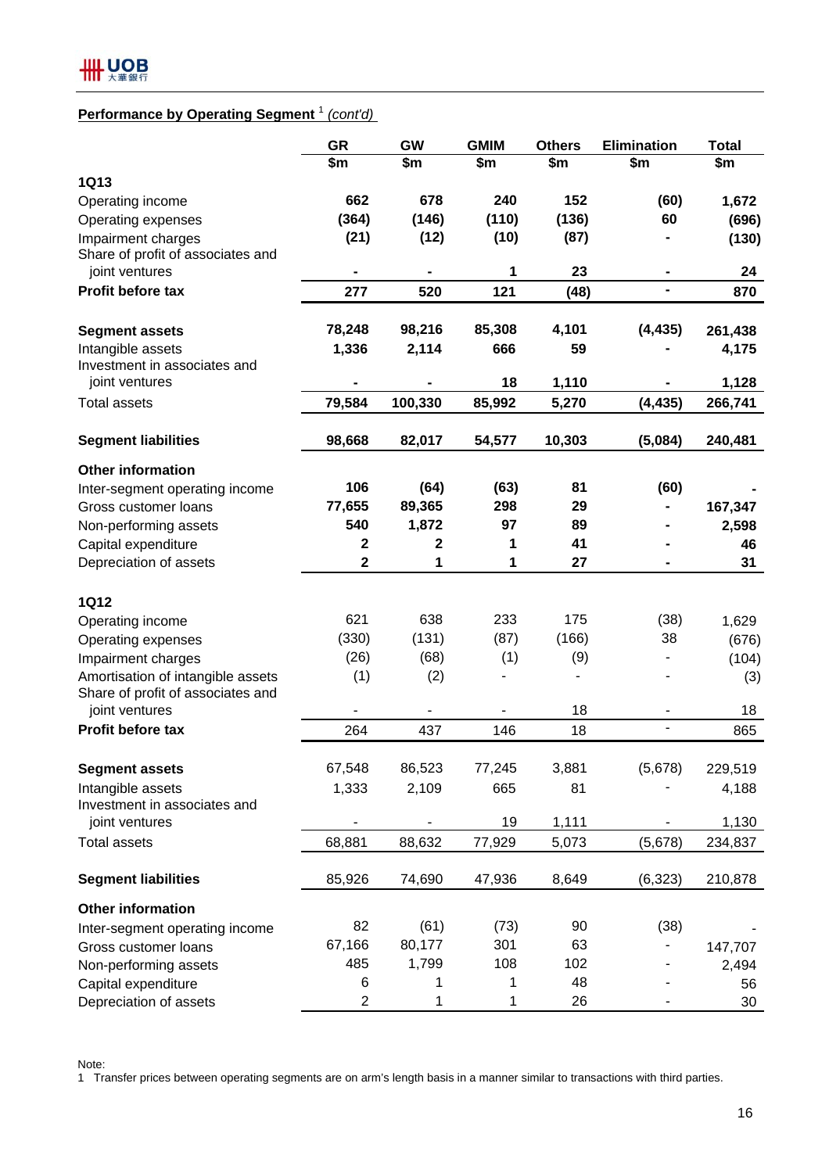# **Performance by Operating Segment** <sup>1</sup> *(cont'd)*

|                                   | <b>GR</b>               | GW      | <b>GMIM</b> | <b>Others</b> | <b>Elimination</b> | <b>Total</b> |
|-----------------------------------|-------------------------|---------|-------------|---------------|--------------------|--------------|
|                                   | \$m                     | \$m     | \$m         | \$m           | \$m                | \$m          |
| <b>1Q13</b>                       |                         |         |             |               |                    |              |
| Operating income                  | 662                     | 678     | 240         | 152           | (60)               | 1,672        |
| Operating expenses                | (364)                   | (146)   | (110)       | (136)         | 60                 | (696)        |
| Impairment charges                | (21)                    | (12)    | (10)        | (87)          |                    | (130)        |
| Share of profit of associates and |                         |         |             |               |                    |              |
| joint ventures                    | ۰                       |         | 1           | 23            |                    | 24           |
| Profit before tax                 | 277                     | 520     | 121         | (48)          | ۰                  | 870          |
| <b>Segment assets</b>             | 78,248                  | 98,216  | 85,308      | 4,101         | (4, 435)           | 261,438      |
| Intangible assets                 | 1,336                   | 2,114   | 666         | 59            |                    | 4,175        |
| Investment in associates and      |                         |         |             |               |                    |              |
| joint ventures                    |                         |         | 18          | 1,110         |                    | 1,128        |
| <b>Total assets</b>               | 79,584                  | 100,330 | 85,992      | 5,270         | (4, 435)           | 266,741      |
| <b>Segment liabilities</b>        | 98,668                  | 82,017  | 54,577      | 10,303        | (5,084)            | 240,481      |
| <b>Other information</b>          |                         |         |             |               |                    |              |
| Inter-segment operating income    | 106                     | (64)    | (63)        | 81            | (60)               |              |
| Gross customer loans              | 77,655                  | 89,365  | 298         | 29            |                    | 167,347      |
| Non-performing assets             | 540                     | 1,872   | 97          | 89            |                    | 2,598        |
| Capital expenditure               | $\mathbf 2$             | 2       | 1           | 41            |                    | 46           |
| Depreciation of assets            | $\mathbf 2$             | 1       | 1           | 27            |                    | 31           |
| <b>1Q12</b>                       |                         |         |             |               |                    |              |
| Operating income                  | 621                     | 638     | 233         | 175           | (38)               | 1,629        |
| Operating expenses                | (330)                   | (131)   | (87)        | (166)         | 38                 | (676)        |
| Impairment charges                | (26)                    | (68)    | (1)         | (9)           | $\blacksquare$     | (104)        |
| Amortisation of intangible assets | (1)                     | (2)     |             |               |                    | (3)          |
| Share of profit of associates and |                         |         |             |               |                    |              |
| joint ventures                    |                         |         |             | 18            |                    | 18           |
| Profit before tax                 | 264                     | 437     | 146         | 18            |                    | 865          |
| <b>Segment assets</b>             | 67,548                  | 86,523  | 77,245      | 3,881         | (5,678)            | 229,519      |
| Intangible assets                 | 1,333                   | 2,109   | 665         | 81            |                    | 4,188        |
| Investment in associates and      |                         |         |             |               |                    |              |
| joint ventures                    |                         | ۰       | 19          | 1,111         |                    | 1,130        |
| <b>Total assets</b>               | 68,881                  | 88,632  | 77,929      | 5,073         | (5,678)            | 234,837      |
| <b>Segment liabilities</b>        | 85,926                  | 74,690  | 47,936      | 8,649         | (6, 323)           | 210,878      |
| <b>Other information</b>          |                         |         |             |               |                    |              |
| Inter-segment operating income    | 82                      | (61)    | (73)        | 90            | (38)               |              |
| Gross customer loans              | 67,166                  | 80,177  | 301         | 63            |                    | 147,707      |
| Non-performing assets             | 485                     | 1,799   | 108         | 102           |                    | 2,494        |
| Capital expenditure               | 6                       | 1       | 1           | 48            |                    | 56           |
| Depreciation of assets            | $\overline{\mathbf{c}}$ | 1       | 1           | 26            |                    | 30           |

Note:

1 Transfer prices between operating segments are on arm's length basis in a manner similar to transactions with third parties.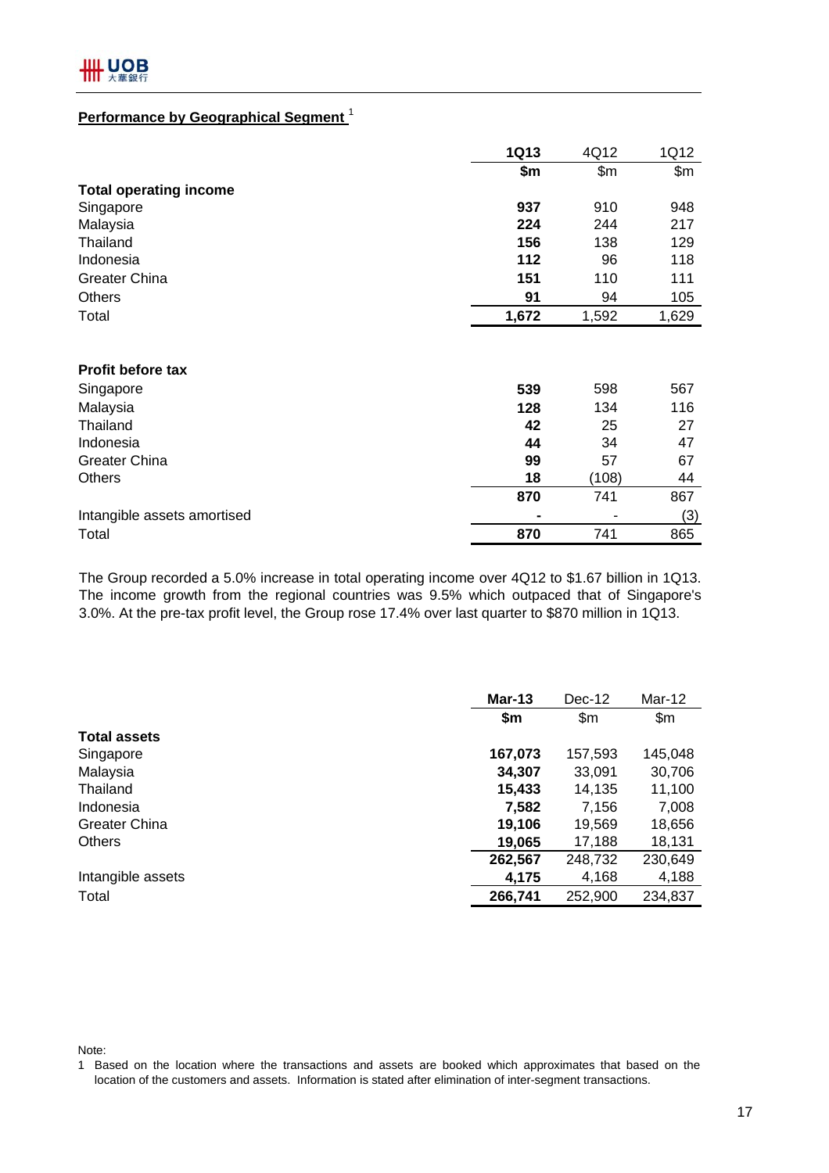# **Performance by Geographical Segment** <sup>1</sup>

|                               | <b>1Q13</b> | 4Q12  | 1Q12  |
|-------------------------------|-------------|-------|-------|
|                               | \$m         | \$m\$ | \$m\$ |
| <b>Total operating income</b> |             |       |       |
| Singapore                     | 937         | 910   | 948   |
| Malaysia                      | 224         | 244   | 217   |
| Thailand                      | 156         | 138   | 129   |
| Indonesia                     | 112         | 96    | 118   |
| <b>Greater China</b>          | 151         | 110   | 111   |
| <b>Others</b>                 | 91          | 94    | 105   |
| Total                         | 1,672       | 1,592 | 1,629 |
| <b>Profit before tax</b>      |             |       |       |
| Singapore                     | 539         | 598   | 567   |
| Malaysia                      | 128         | 134   | 116   |
| Thailand                      | 42          | 25    | 27    |
| Indonesia                     | 44          | 34    | 47    |
| <b>Greater China</b>          | 99          | 57    | 67    |
| <b>Others</b>                 | 18          | (108) | 44    |
|                               | 870         | 741   | 867   |
| Intangible assets amortised   |             |       | (3)   |
| Total                         | 870         | 741   | 865   |

The Group recorded a 5.0% increase in total operating income over 4Q12 to \$1.67 billion in 1Q13. The income growth from the regional countries was 9.5% which outpaced that of Singapore's 3.0%. At the pre-tax profit level, the Group rose 17.4% over last quarter to \$870 million in 1Q13.

|                      | $Mar-13$ | $Dec-12$     | Mar-12  |
|----------------------|----------|--------------|---------|
|                      | \$m      | $\mathsf{m}$ | \$m\$   |
| <b>Total assets</b>  |          |              |         |
| Singapore            | 167,073  | 157,593      | 145,048 |
| Malaysia             | 34,307   | 33,091       | 30,706  |
| Thailand             | 15,433   | 14,135       | 11,100  |
| Indonesia            | 7,582    | 7,156        | 7,008   |
| <b>Greater China</b> | 19,106   | 19,569       | 18,656  |
| <b>Others</b>        | 19,065   | 17,188       | 18,131  |
|                      | 262,567  | 248,732      | 230,649 |
| Intangible assets    | 4,175    | 4,168        | 4,188   |
| Total                | 266,741  | 252,900      | 234,837 |

Note:

<sup>1</sup> Based on the location where the transactions and assets are booked which approximates that based on the location of the customers and assets. Information is stated after elimination of inter-segment transactions.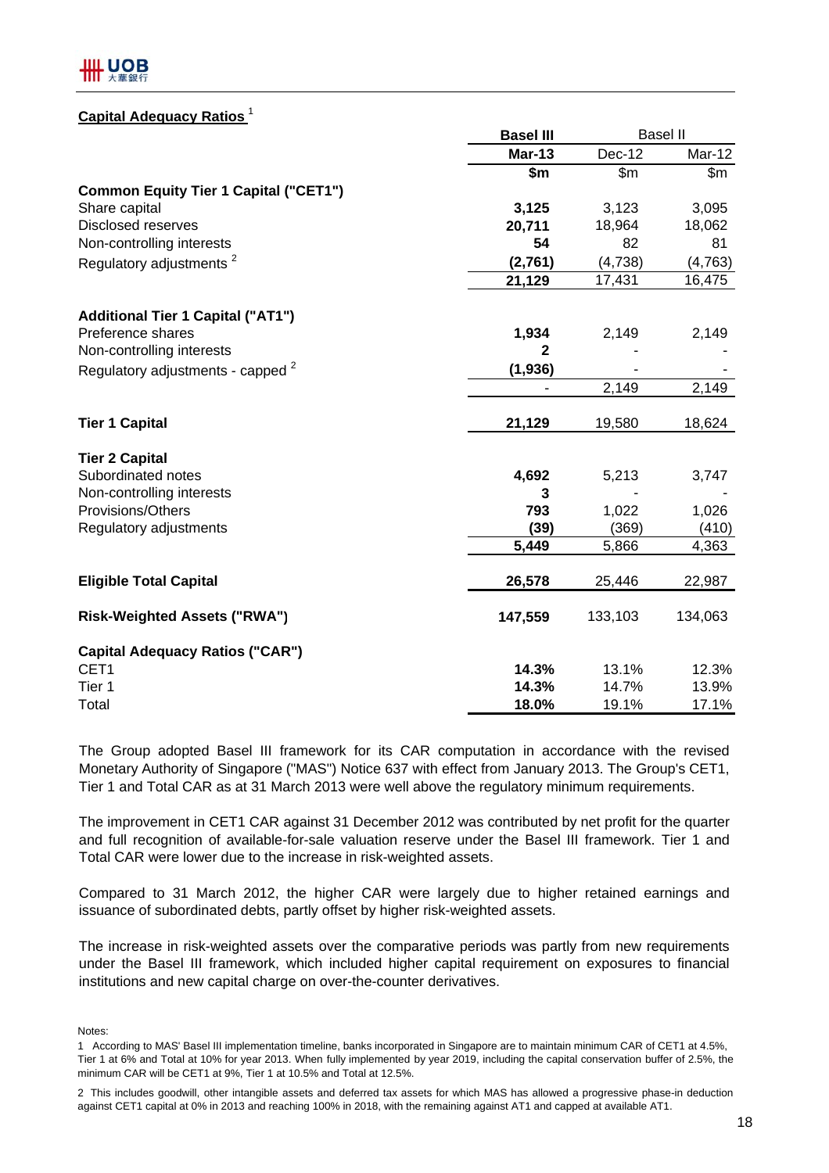## **Capital Adequacy Ratios** <sup>1</sup>

|                                                | <b>Basel III</b> |               | <b>Basel II</b> |
|------------------------------------------------|------------------|---------------|-----------------|
|                                                | <b>Mar-13</b>    | <b>Dec-12</b> | Mar-12          |
|                                                | \$m              | \$m\$         | \$m\$           |
| <b>Common Equity Tier 1 Capital ("CET1")</b>   |                  |               |                 |
| Share capital                                  | 3,125            | 3,123         | 3,095           |
| <b>Disclosed reserves</b>                      | 20,711           | 18,964        | 18,062          |
| Non-controlling interests                      | 54               | 82            | 81              |
| Regulatory adjustments <sup>2</sup>            | (2,761)          | (4,738)       | (4, 763)        |
|                                                | 21,129           | 17,431        | 16,475          |
| <b>Additional Tier 1 Capital ("AT1")</b>       |                  |               |                 |
| Preference shares                              | 1,934            | 2,149         | 2,149           |
| Non-controlling interests                      | $\mathbf{2}$     |               |                 |
| Regulatory adjustments - capped <sup>2</sup>   | (1, 936)         |               |                 |
|                                                |                  | 2,149         | 2,149           |
| <b>Tier 1 Capital</b>                          | 21,129           | 19,580        | 18,624          |
| <b>Tier 2 Capital</b>                          |                  |               |                 |
| Subordinated notes                             | 4,692            | 5,213         | 3,747           |
| Non-controlling interests                      | 3                |               |                 |
| Provisions/Others                              | 793              | 1,022         | 1,026           |
| Regulatory adjustments                         | (39)             | (369)         | (410)           |
|                                                | 5,449            | 5,866         | 4,363           |
| <b>Eligible Total Capital</b>                  | 26,578           | 25,446        | 22,987          |
| <b>Risk-Weighted Assets ("RWA")</b>            | 147,559          | 133,103       | 134,063         |
|                                                |                  |               |                 |
| <b>Capital Adequacy Ratios ("CAR")</b><br>CET1 | 14.3%            | 13.1%         | 12.3%           |
| Tier 1                                         | 14.3%            | 14.7%         | 13.9%           |
| Total                                          | 18.0%            | 19.1%         | 17.1%           |
|                                                |                  |               |                 |

The Group adopted Basel III framework for its CAR computation in accordance with the revised Monetary Authority of Singapore ("MAS") Notice 637 with effect from January 2013. The Group's CET1, Tier 1 and Total CAR as at 31 March 2013 were well above the regulatory minimum requirements.

The improvement in CET1 CAR against 31 December 2012 was contributed by net profit for the quarter and full recognition of available-for-sale valuation reserve under the Basel III framework. Tier 1 and Total CAR were lower due to the increase in risk-weighted assets.

Compared to 31 March 2012, the higher CAR were largely due to higher retained earnings and issuance of subordinated debts, partly offset by higher risk-weighted assets.

The increase in risk-weighted assets over the comparative periods was partly from new requirements under the Basel III framework, which included higher capital requirement on exposures to financial institutions and new capital charge on over-the-counter derivatives.

Notes:

<sup>1</sup> According to MAS' Basel III implementation timeline, banks incorporated in Singapore are to maintain minimum CAR of CET1 at 4.5%, Tier 1 at 6% and Total at 10% for year 2013. When fully implemented by year 2019, including the capital conservation buffer of 2.5%, the minimum CAR will be CET1 at 9%, Tier 1 at 10.5% and Total at 12.5%.

<sup>2</sup> This includes goodwill, other intangible assets and deferred tax assets for which MAS has allowed a progressive phase-in deduction against CET1 capital at 0% in 2013 and reaching 100% in 2018, with the remaining against AT1 and capped at available AT1.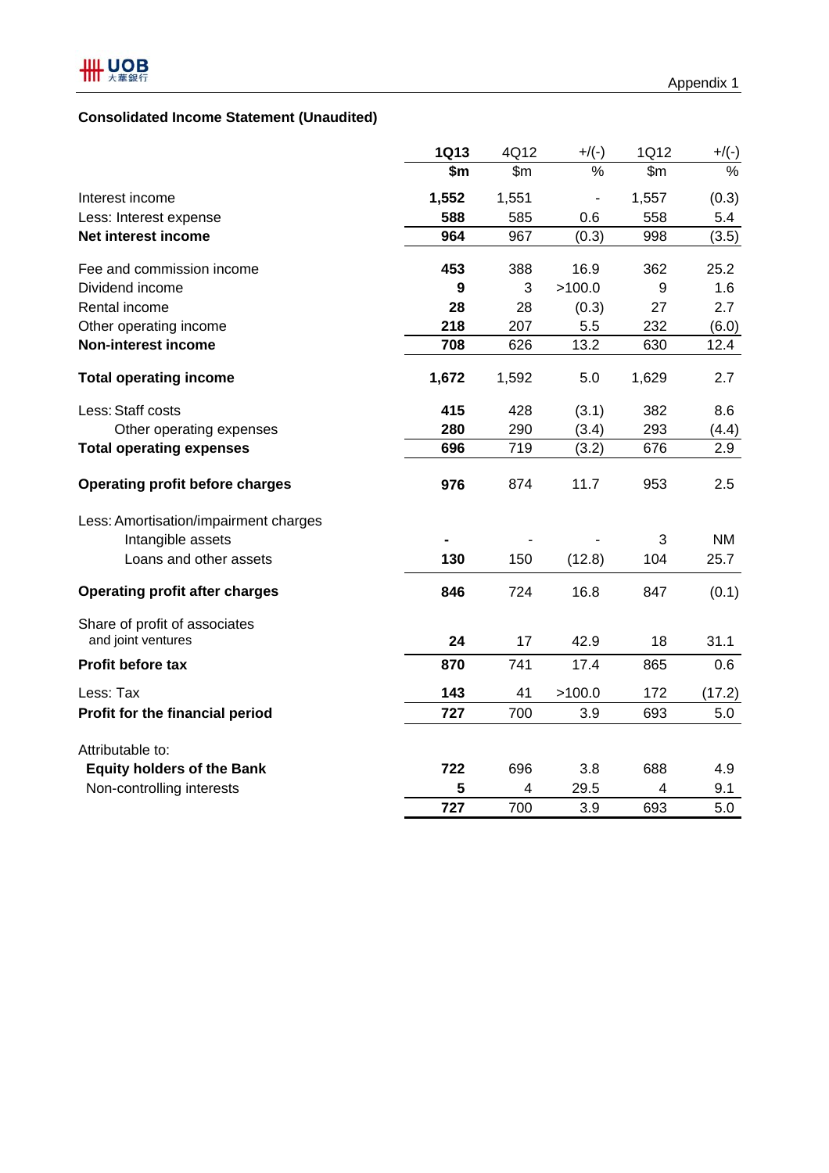# **Consolidated Income Statement (Unaudited)**

|                                        | <b>1Q13</b> | 4Q12         | $+$ /(-) | 1Q12  | $+/(-)$   |
|----------------------------------------|-------------|--------------|----------|-------|-----------|
|                                        | \$m         | $\mathsf{m}$ | $\%$     | \$m   | $\%$      |
| Interest income                        | 1,552       | 1,551        |          | 1,557 | (0.3)     |
| Less: Interest expense                 | 588         | 585          | 0.6      | 558   | 5.4       |
| Net interest income                    | 964         | 967          | (0.3)    | 998   | (3.5)     |
| Fee and commission income              | 453         | 388          | 16.9     | 362   | 25.2      |
| Dividend income                        | 9           | 3            | >100.0   | 9     | 1.6       |
| Rental income                          | 28          | 28           | (0.3)    | 27    | 2.7       |
| Other operating income                 | 218         | 207          | 5.5      | 232   | (6.0)     |
| <b>Non-interest income</b>             | 708         | 626          | 13.2     | 630   | 12.4      |
| <b>Total operating income</b>          | 1,672       | 1,592        | 5.0      | 1,629 | 2.7       |
| Less: Staff costs                      | 415         | 428          | (3.1)    | 382   | 8.6       |
| Other operating expenses               | 280         | 290          | (3.4)    | 293   | (4.4)     |
| <b>Total operating expenses</b>        | 696         | 719          | (3.2)    | 676   | 2.9       |
| <b>Operating profit before charges</b> | 976         | 874          | 11.7     | 953   | 2.5       |
| Less: Amortisation/impairment charges  |             |              |          |       |           |
| Intangible assets                      |             |              |          | 3     | <b>NM</b> |
| Loans and other assets                 | 130         | 150          | (12.8)   | 104   | 25.7      |
| <b>Operating profit after charges</b>  | 846         | 724          | 16.8     | 847   | (0.1)     |
| Share of profit of associates          |             |              |          |       |           |
| and joint ventures                     | 24          | 17           | 42.9     | 18    | 31.1      |
| Profit before tax                      | 870         | 741          | 17.4     | 865   | 0.6       |
| Less: Tax                              | 143         | 41           | >100.0   | 172   | (17.2)    |
| Profit for the financial period        | 727         | 700          | 3.9      | 693   | 5.0       |
| Attributable to:                       |             |              |          |       |           |
| <b>Equity holders of the Bank</b>      | 722         | 696          | 3.8      | 688   | 4.9       |
| Non-controlling interests              | 5           | 4            | 29.5     | 4     | 9.1       |
|                                        | 727         | 700          | 3.9      | 693   | 5.0       |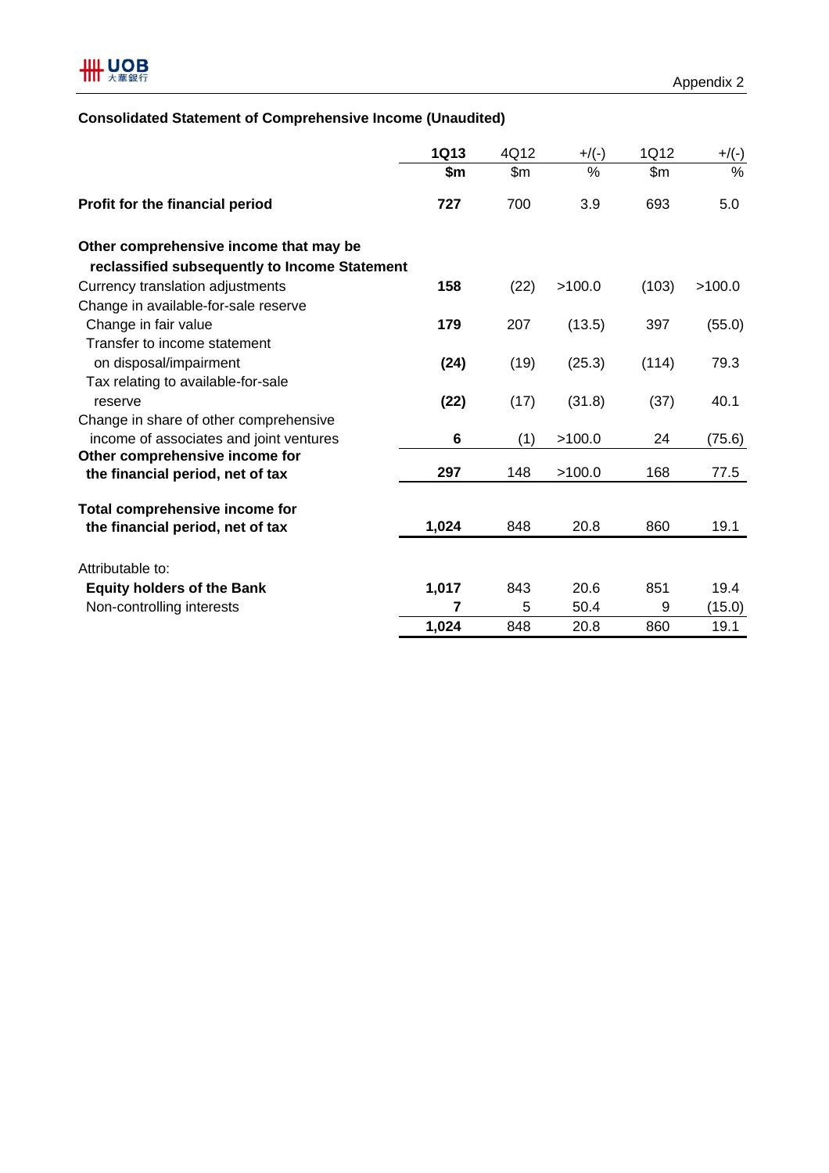

## **Consolidated Statement of Comprehensive Income (Unaudited)**

|                                               | <b>1Q13</b> | 4Q12 | $+$ /(-) | 1Q12  | $+/(-)$       |
|-----------------------------------------------|-------------|------|----------|-------|---------------|
|                                               | \$m         | \$m  | $\%$     | \$m   | $\frac{0}{0}$ |
| Profit for the financial period               | 727         | 700  | 3.9      | 693   | 5.0           |
| Other comprehensive income that may be        |             |      |          |       |               |
| reclassified subsequently to Income Statement |             |      |          |       |               |
| Currency translation adjustments              | 158         | (22) | >100.0   | (103) | >100.0        |
| Change in available-for-sale reserve          |             |      |          |       |               |
| Change in fair value                          | 179         | 207  | (13.5)   | 397   | (55.0)        |
| Transfer to income statement                  |             |      |          |       |               |
| on disposal/impairment                        | (24)        | (19) | (25.3)   | (114) | 79.3          |
| Tax relating to available-for-sale            |             |      |          |       |               |
| reserve                                       | (22)        | (17) | (31.8)   | (37)  | 40.1          |
| Change in share of other comprehensive        |             |      |          |       |               |
| income of associates and joint ventures       | 6           | (1)  | >100.0   | 24    | (75.6)        |
| Other comprehensive income for                |             |      |          |       |               |
| the financial period, net of tax              | 297         | 148  | >100.0   | 168   | 77.5          |
|                                               |             |      |          |       |               |
| Total comprehensive income for                | 1,024       | 848  | 20.8     | 860   | 19.1          |
| the financial period, net of tax              |             |      |          |       |               |
| Attributable to:                              |             |      |          |       |               |
| <b>Equity holders of the Bank</b>             | 1,017       | 843  | 20.6     | 851   | 19.4          |
| Non-controlling interests                     | 7           | 5    | 50.4     | 9     | (15.0)        |
|                                               | 1,024       | 848  | 20.8     | 860   | 19.1          |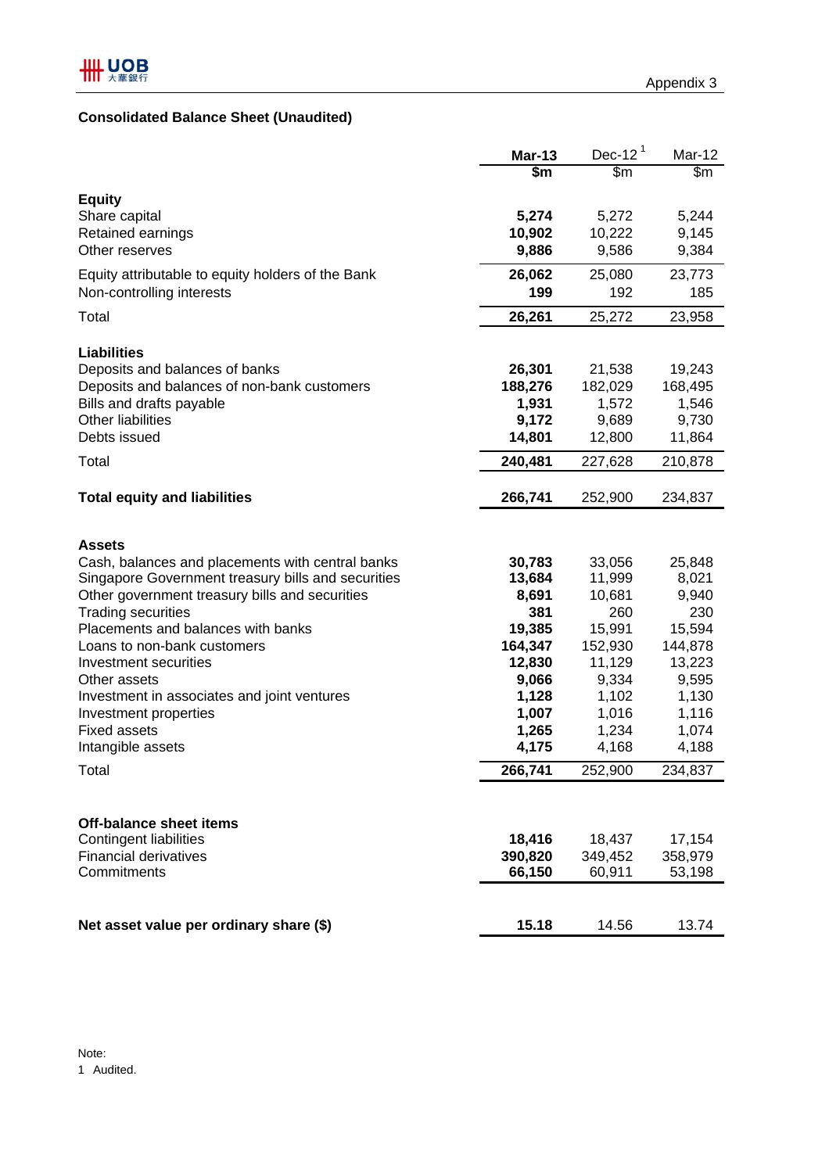# **Consolidated Balance Sheet (Unaudited)**

|                                                      | $Mar-13$ | Dec-12 $1$ | Mar-12  |
|------------------------------------------------------|----------|------------|---------|
|                                                      | \$m      | \$m\$      | \$m\$   |
| <b>Equity</b>                                        |          |            |         |
| Share capital                                        | 5,274    | 5,272      | 5,244   |
| Retained earnings                                    | 10,902   | 10,222     | 9,145   |
| Other reserves                                       | 9,886    | 9,586      | 9,384   |
| Equity attributable to equity holders of the Bank    | 26,062   | 25,080     | 23,773  |
| Non-controlling interests                            | 199      | 192        | 185     |
| Total                                                | 26,261   | 25,272     | 23,958  |
|                                                      |          |            |         |
| <b>Liabilities</b><br>Deposits and balances of banks | 26,301   | 21,538     | 19,243  |
| Deposits and balances of non-bank customers          | 188,276  | 182,029    | 168,495 |
| Bills and drafts payable                             | 1,931    | 1,572      | 1,546   |
| <b>Other liabilities</b>                             | 9,172    | 9,689      | 9,730   |
| Debts issued                                         | 14,801   | 12,800     | 11,864  |
| Total                                                | 240,481  | 227,628    | 210,878 |
|                                                      |          |            |         |
| <b>Total equity and liabilities</b>                  | 266,741  | 252,900    | 234,837 |
|                                                      |          |            |         |
| <b>Assets</b>                                        |          |            |         |
| Cash, balances and placements with central banks     | 30,783   | 33,056     | 25,848  |
| Singapore Government treasury bills and securities   | 13,684   | 11,999     | 8,021   |
| Other government treasury bills and securities       | 8,691    | 10,681     | 9,940   |
| <b>Trading securities</b>                            | 381      | 260        | 230     |
| Placements and balances with banks                   | 19,385   | 15,991     | 15,594  |
| Loans to non-bank customers                          | 164,347  | 152,930    | 144,878 |
| Investment securities                                | 12,830   | 11,129     | 13,223  |
| Other assets                                         | 9,066    | 9,334      | 9,595   |
| Investment in associates and joint ventures          | 1,128    | 1,102      | 1,130   |
| Investment properties                                | 1,007    | 1,016      | 1,116   |
| <b>Fixed assets</b>                                  | 1,265    | 1,234      | 1,074   |
| Intangible assets                                    | 4,175    | 4,168      | 4,188   |
| Total                                                | 266,741  | 252,900    | 234,837 |
|                                                      |          |            |         |
| <b>Off-balance sheet items</b>                       |          |            |         |
| <b>Contingent liabilities</b>                        | 18,416   | 18,437     | 17,154  |
| <b>Financial derivatives</b>                         | 390,820  | 349,452    | 358,979 |
| Commitments                                          | 66,150   | 60,911     | 53,198  |
|                                                      |          |            |         |
| Net asset value per ordinary share (\$)              | 15.18    | 14.56      | 13.74   |
|                                                      |          |            |         |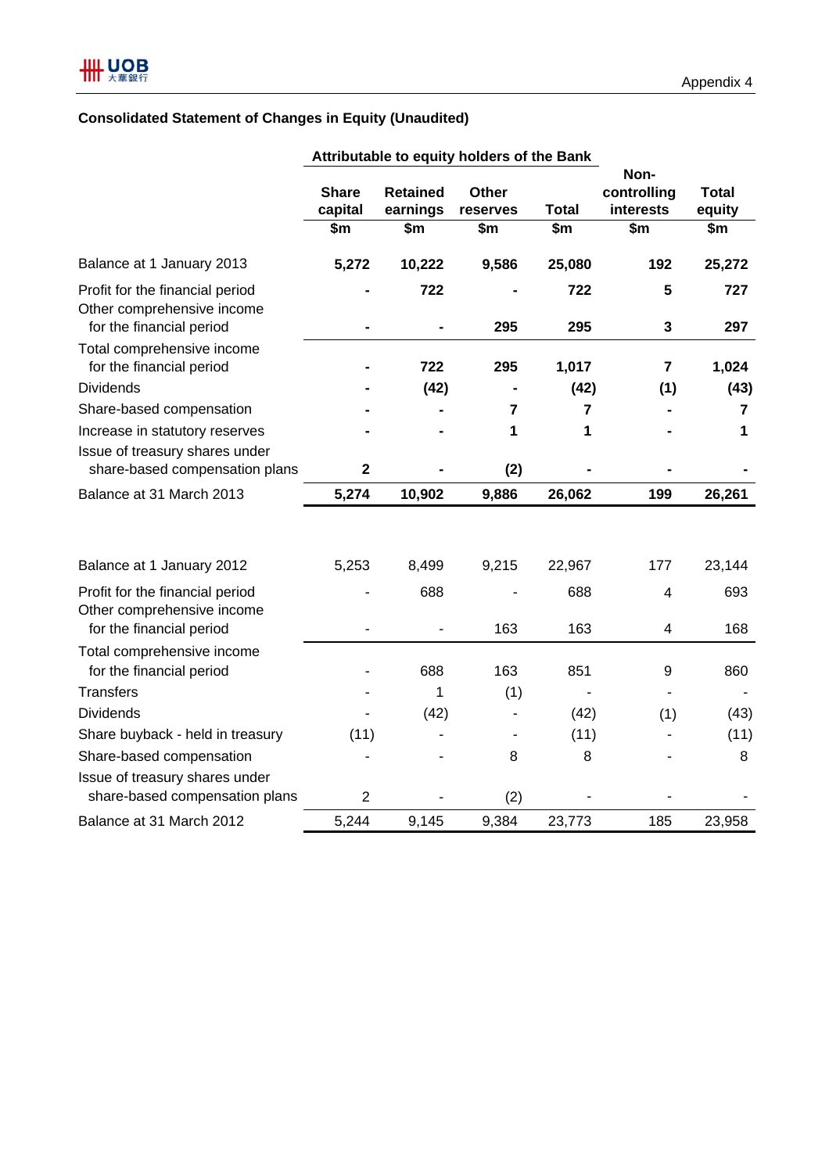# **Consolidated Statement of Changes in Equity (Unaudited)**

|                                                               |                |                 | Attributable to equity holders of the Bank |                       |                  |               |
|---------------------------------------------------------------|----------------|-----------------|--------------------------------------------|-----------------------|------------------|---------------|
|                                                               |                |                 |                                            |                       | Non-             |               |
|                                                               | <b>Share</b>   | <b>Retained</b> | <b>Other</b>                               |                       | controlling      | Total         |
|                                                               | capital<br>\$m | earnings<br>\$m | reserves<br>\$m                            | <b>Total</b><br>\$m\$ | interests<br>\$m | equity<br>\$m |
|                                                               |                |                 |                                            |                       |                  |               |
| Balance at 1 January 2013                                     | 5,272          | 10,222          | 9,586                                      | 25,080                | 192              | 25,272        |
| Profit for the financial period<br>Other comprehensive income |                | 722             |                                            | 722                   | 5                | 727           |
| for the financial period                                      |                |                 | 295                                        | 295                   | 3                | 297           |
| Total comprehensive income<br>for the financial period        |                | 722             | 295                                        | 1,017                 | $\overline{7}$   | 1,024         |
| <b>Dividends</b>                                              |                | (42)            |                                            | (42)                  | (1)              | (43)          |
| Share-based compensation                                      |                |                 | 7                                          | 7                     |                  | 7             |
| Increase in statutory reserves                                |                |                 | 1                                          | 1                     |                  | 1             |
| Issue of treasury shares under                                |                |                 |                                            |                       |                  |               |
| share-based compensation plans                                | $\mathbf{2}$   |                 | (2)                                        |                       |                  |               |
| Balance at 31 March 2013                                      | 5,274          | 10,902          | 9,886                                      | 26,062                | 199              | 26,261        |
|                                                               |                |                 |                                            |                       |                  |               |
| Balance at 1 January 2012                                     | 5,253          | 8,499           | 9,215                                      | 22,967                | 177              | 23,144        |
| Profit for the financial period<br>Other comprehensive income |                | 688             |                                            | 688                   | $\overline{4}$   | 693           |
| for the financial period                                      |                |                 | 163                                        | 163                   | 4                | 168           |
| Total comprehensive income<br>for the financial period        |                | 688             | 163                                        | 851                   | 9                | 860           |
| <b>Transfers</b>                                              |                | 1               | (1)                                        |                       |                  |               |
| <b>Dividends</b>                                              |                | (42)            |                                            | (42)                  | (1)              | (43)          |
| Share buyback - held in treasury                              | (11)           |                 |                                            | (11)                  |                  | (11)          |
| Share-based compensation                                      |                |                 | 8                                          | 8                     |                  | 8             |
| Issue of treasury shares under                                |                |                 |                                            |                       |                  |               |
| share-based compensation plans                                | $\overline{2}$ |                 | (2)                                        |                       |                  |               |
| Balance at 31 March 2012                                      | 5,244          | 9,145           | 9,384                                      | 23,773                | 185              | 23,958        |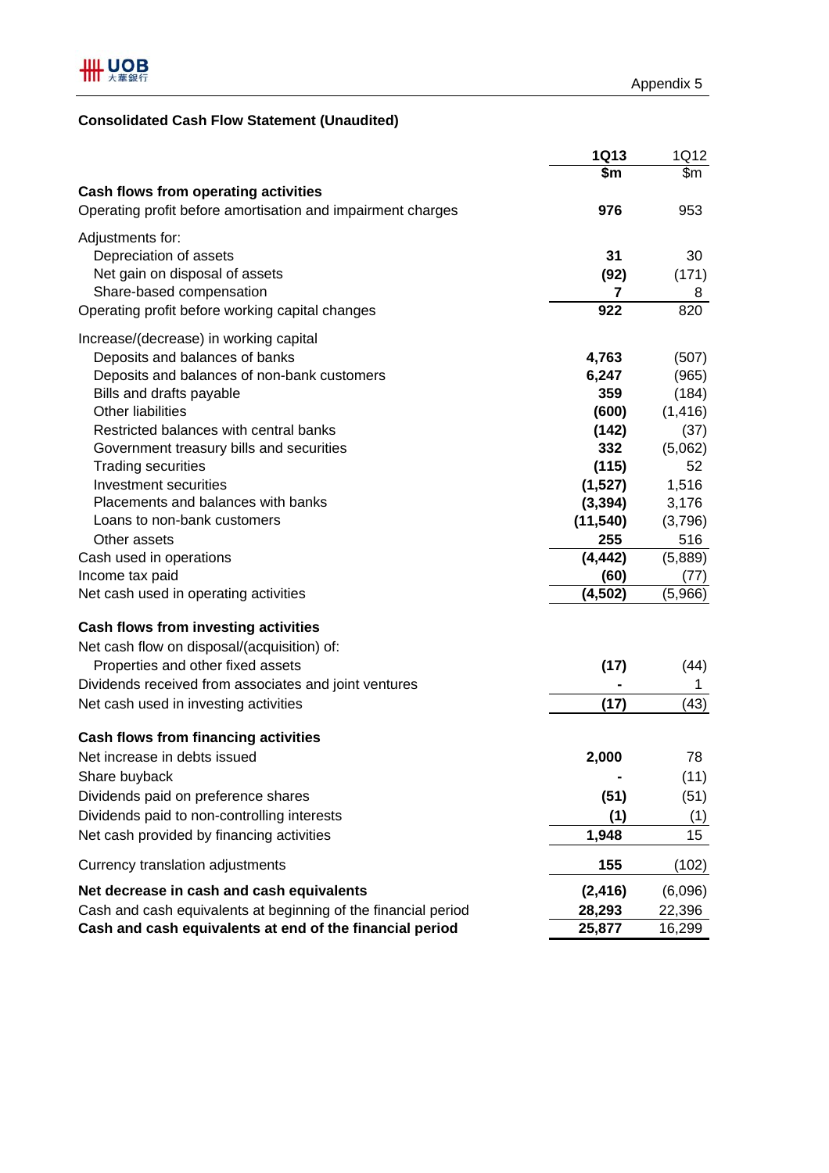# **Consolidated Cash Flow Statement (Unaudited)**

|                                                                | <b>1Q13</b> | 1Q12     |
|----------------------------------------------------------------|-------------|----------|
|                                                                | \$m\$       | \$m      |
| <b>Cash flows from operating activities</b>                    |             |          |
| Operating profit before amortisation and impairment charges    | 976         | 953      |
| Adjustments for:                                               |             |          |
| Depreciation of assets                                         | 31          | 30       |
| Net gain on disposal of assets                                 | (92)        | (171)    |
| Share-based compensation                                       | 7           | 8        |
| Operating profit before working capital changes                | 922         | 820      |
| Increase/(decrease) in working capital                         |             |          |
| Deposits and balances of banks                                 | 4,763       | (507)    |
| Deposits and balances of non-bank customers                    | 6,247       | (965)    |
| Bills and drafts payable                                       | 359         | (184)    |
| <b>Other liabilities</b>                                       | (600)       | (1, 416) |
| Restricted balances with central banks                         | (142)       | (37)     |
| Government treasury bills and securities                       | 332         | (5,062)  |
| <b>Trading securities</b>                                      | (115)       | 52       |
| Investment securities                                          | (1,527)     | 1,516    |
| Placements and balances with banks                             | (3, 394)    | 3,176    |
| Loans to non-bank customers                                    | (11, 540)   | (3,796)  |
| Other assets                                                   | 255         | 516      |
| Cash used in operations                                        | (4, 442)    | (5,889)  |
| Income tax paid                                                | (60)        | (77)     |
| Net cash used in operating activities                          | (4, 502)    | (5,966)  |
| Cash flows from investing activities                           |             |          |
| Net cash flow on disposal/(acquisition) of:                    |             |          |
| Properties and other fixed assets                              | (17)        | (44)     |
| Dividends received from associates and joint ventures          |             | 1        |
| Net cash used in investing activities                          | (17)        | (43)     |
|                                                                |             |          |
| <b>Cash flows from financing activities</b>                    |             |          |
| Net increase in debts issued                                   | 2,000       | 78       |
| Share buyback                                                  |             | (11)     |
| Dividends paid on preference shares                            | (51)        | (51)     |
| Dividends paid to non-controlling interests                    | (1)         | (1)      |
| Net cash provided by financing activities                      | 1,948       | 15       |
| Currency translation adjustments                               | 155         | (102)    |
| Net decrease in cash and cash equivalents                      | (2, 416)    | (6,096)  |
| Cash and cash equivalents at beginning of the financial period | 28,293      | 22,396   |
| Cash and cash equivalents at end of the financial period       | 25,877      | 16,299   |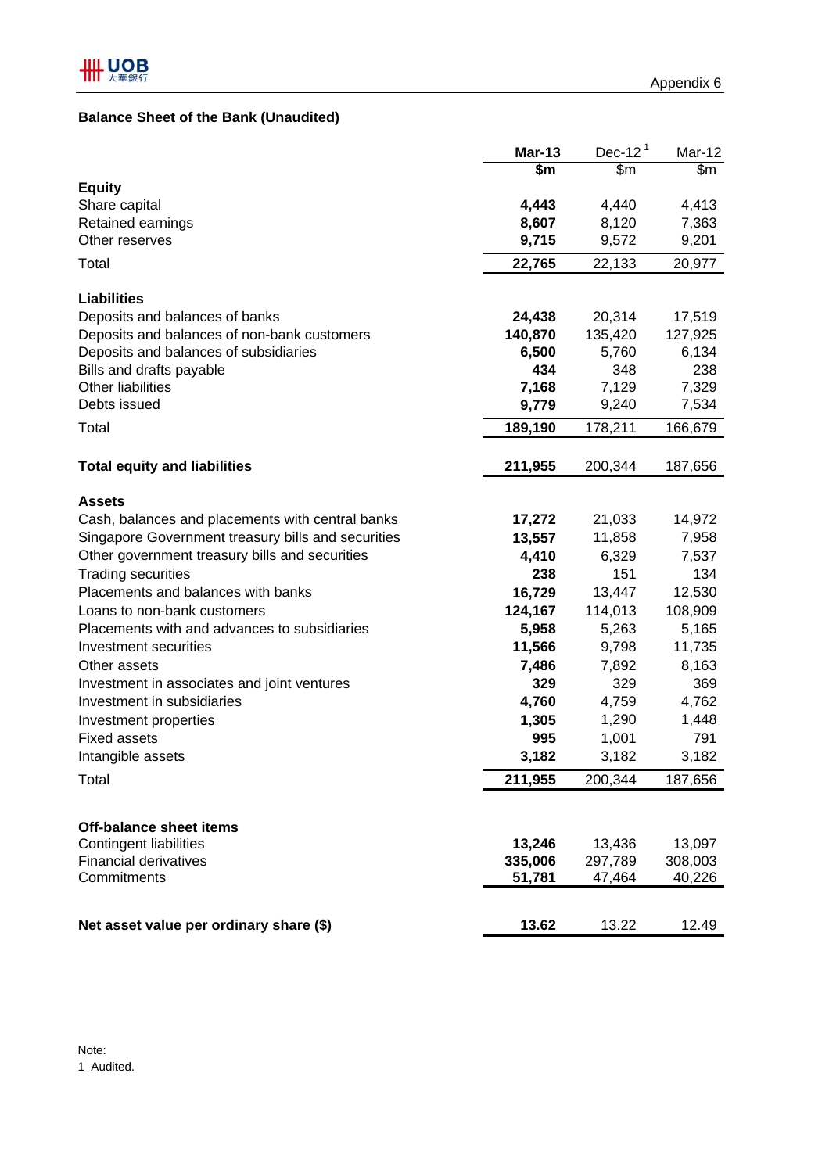## **Balance Sheet of the Bank (Unaudited)**

|                                                               | <b>Mar-13</b>          | Dec-12 $1$        | Mar-12            |
|---------------------------------------------------------------|------------------------|-------------------|-------------------|
|                                                               | $\overline{\text{sm}}$ | $\overline{\$m}$  | \$m               |
| <b>Equity</b>                                                 |                        |                   |                   |
| Share capital<br>Retained earnings                            | 4,443<br>8,607         | 4,440<br>8,120    | 4,413<br>7,363    |
| Other reserves                                                | 9,715                  | 9,572             | 9,201             |
|                                                               |                        |                   |                   |
| Total                                                         | 22,765                 | 22,133            | 20,977            |
| <b>Liabilities</b>                                            |                        |                   |                   |
| Deposits and balances of banks                                | 24,438                 | 20,314            | 17,519            |
| Deposits and balances of non-bank customers                   | 140,870                | 135,420           | 127,925           |
| Deposits and balances of subsidiaries                         | 6,500                  | 5,760             | 6,134             |
| Bills and drafts payable                                      | 434                    | 348               | 238               |
| <b>Other liabilities</b>                                      | 7,168                  | 7,129             | 7,329             |
| Debts issued                                                  | 9,779                  | 9,240             | 7,534             |
| Total                                                         | 189,190                | 178,211           | 166,679           |
|                                                               |                        |                   |                   |
| <b>Total equity and liabilities</b>                           | 211,955                | 200,344           | 187,656           |
| <b>Assets</b>                                                 |                        |                   |                   |
| Cash, balances and placements with central banks              | 17,272                 | 21,033            | 14,972            |
| Singapore Government treasury bills and securities            | 13,557                 | 11,858            | 7,958             |
| Other government treasury bills and securities                | 4,410                  | 6,329             | 7,537             |
| <b>Trading securities</b>                                     | 238                    | 151               | 134               |
| Placements and balances with banks                            | 16,729                 | 13,447            | 12,530            |
| Loans to non-bank customers                                   | 124,167                | 114,013           | 108,909           |
| Placements with and advances to subsidiaries                  | 5,958                  | 5,263             | 5,165             |
| Investment securities                                         | 11,566                 | 9,798             | 11,735            |
| Other assets                                                  | 7,486                  | 7,892             | 8,163             |
| Investment in associates and joint ventures                   | 329                    | 329               | 369               |
| Investment in subsidiaries                                    | 4,760                  | 4,759             | 4,762             |
| Investment properties                                         | 1,305                  | 1,290             | 1,448             |
| <b>Fixed assets</b>                                           | 995                    | 1,001             | 791               |
| Intangible assets                                             | 3,182                  | 3,182             | 3,182             |
| Total                                                         | 211,955                | 200,344           | 187,656           |
|                                                               |                        |                   |                   |
| Off-balance sheet items                                       |                        |                   |                   |
| <b>Contingent liabilities</b><br><b>Financial derivatives</b> | 13,246<br>335,006      | 13,436<br>297,789 | 13,097<br>308,003 |
| Commitments                                                   | 51,781                 | 47,464            | 40,226            |
|                                                               |                        |                   |                   |
| Net asset value per ordinary share (\$)                       | 13.62                  | 13.22             | 12.49             |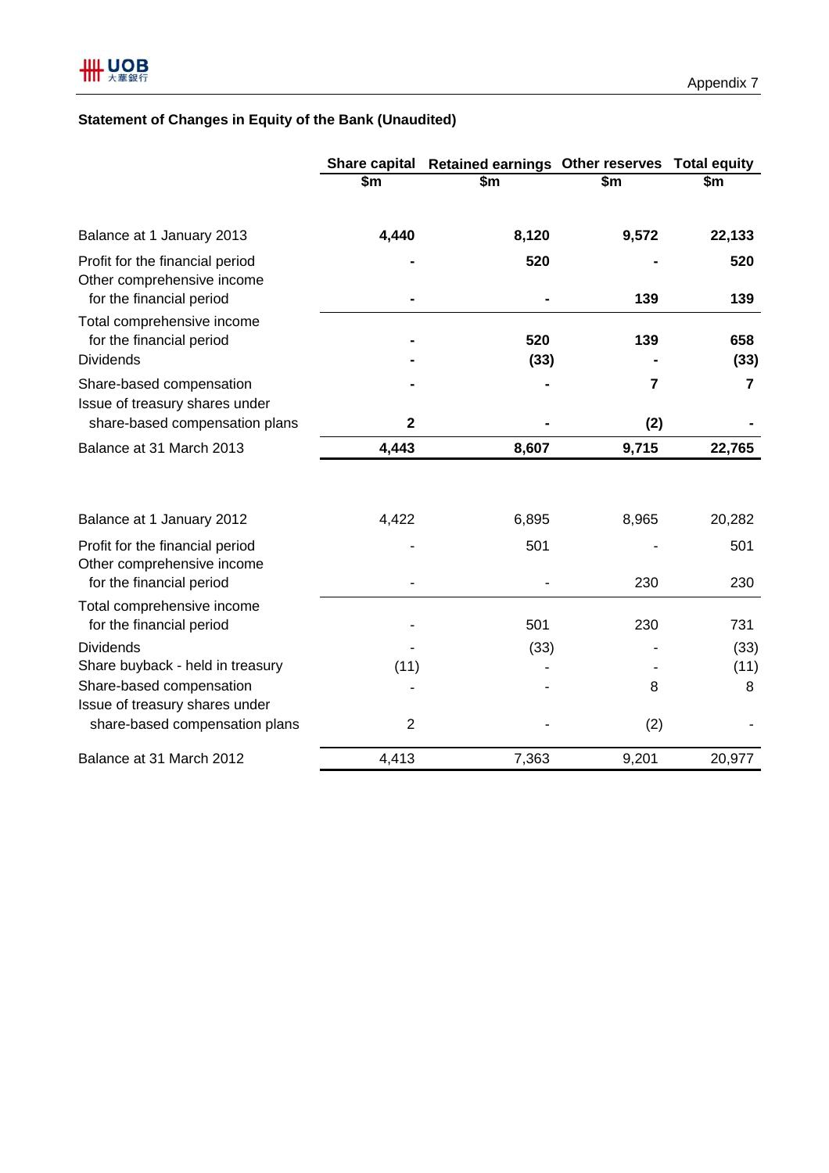# **Statement of Changes in Equity of the Bank (Unaudited)**

|                                                                                    |                | Share capital Retained earnings Other reserves Total equity |                |                        |  |
|------------------------------------------------------------------------------------|----------------|-------------------------------------------------------------|----------------|------------------------|--|
|                                                                                    | \$m            | \$m                                                         | \$m            | \$m                    |  |
| Balance at 1 January 2013                                                          | 4,440          | 8,120                                                       | 9,572          | 22,133                 |  |
| Profit for the financial period<br>Other comprehensive income                      |                | 520                                                         |                | 520                    |  |
| for the financial period<br>Total comprehensive income<br>for the financial period |                | 520                                                         | 139<br>139     | 139<br>658             |  |
| <b>Dividends</b><br>Share-based compensation                                       |                | (33)                                                        | $\overline{7}$ | (33)<br>$\overline{7}$ |  |
| Issue of treasury shares under<br>share-based compensation plans                   | $\mathbf{2}$   |                                                             | (2)            |                        |  |
| Balance at 31 March 2013                                                           | 4,443          | 8,607                                                       | 9,715          | 22,765                 |  |
| Balance at 1 January 2012                                                          | 4,422          | 6,895                                                       | 8,965          | 20,282                 |  |
| Profit for the financial period<br>Other comprehensive income                      |                | 501                                                         |                | 501                    |  |
| for the financial period                                                           |                |                                                             | 230            | 230                    |  |
| Total comprehensive income<br>for the financial period                             |                | 501                                                         | 230            | 731                    |  |
| <b>Dividends</b>                                                                   |                | (33)                                                        |                | (33)                   |  |
| Share buyback - held in treasury                                                   | (11)           |                                                             |                | (11)                   |  |
| Share-based compensation<br>Issue of treasury shares under                         |                |                                                             | 8              | 8                      |  |
| share-based compensation plans                                                     | $\overline{2}$ |                                                             | (2)            |                        |  |
| Balance at 31 March 2012                                                           | 4,413          | 7,363                                                       | 9,201          | 20,977                 |  |